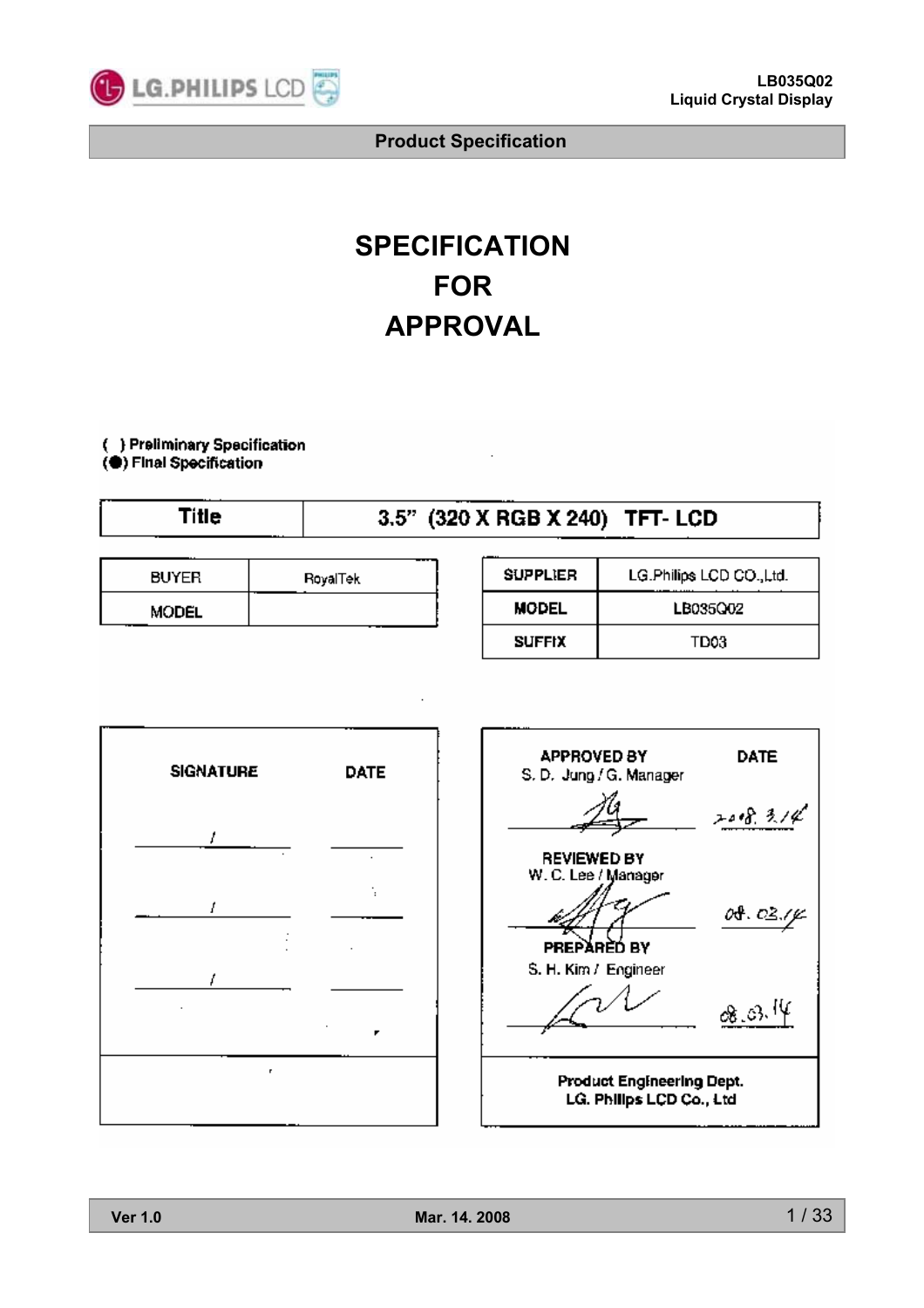

# **SPECIFICATION FOR APPROVAL**

( ) Preliminary Specification (C) Final Specification

| Title |              |                 |                 | 3.5" (320 X RGB X 240) TFT- LCD |
|-------|--------------|-----------------|-----------------|---------------------------------|
|       |              |                 |                 |                                 |
|       | <b>BUYER</b> | <b>RovalTek</b> | <b>SUPPLIER</b> | LG.Philips LCD CO., Ltd.        |
|       |              |                 |                 |                                 |

| DVICR        | <b>Hoyallek</b> |
|--------------|-----------------|
| <b>MODEL</b> |                 |
|              |                 |

| <b>MODEL</b>  | LB035Q02         |
|---------------|------------------|
| <b>SUFFIX</b> | TD <sub>03</sub> |
|               |                  |
|               |                  |
|               |                  |



| <b>APPROVED BY</b><br>S. D. Jung / G. Manager         | DATE              |  |  |  |
|-------------------------------------------------------|-------------------|--|--|--|
|                                                       | 208.314           |  |  |  |
| <b>REVIEWED BY</b><br>W. C. Lee / Manager             | 04. 03./ <i>y</i> |  |  |  |
| PREPĂRÈD BY<br>S. H. Kim / Engineer                   |                   |  |  |  |
|                                                       | ‰.ಚಿ."            |  |  |  |
| Product Engineering Dept.<br>LG. Philips LCD Co., Ltd |                   |  |  |  |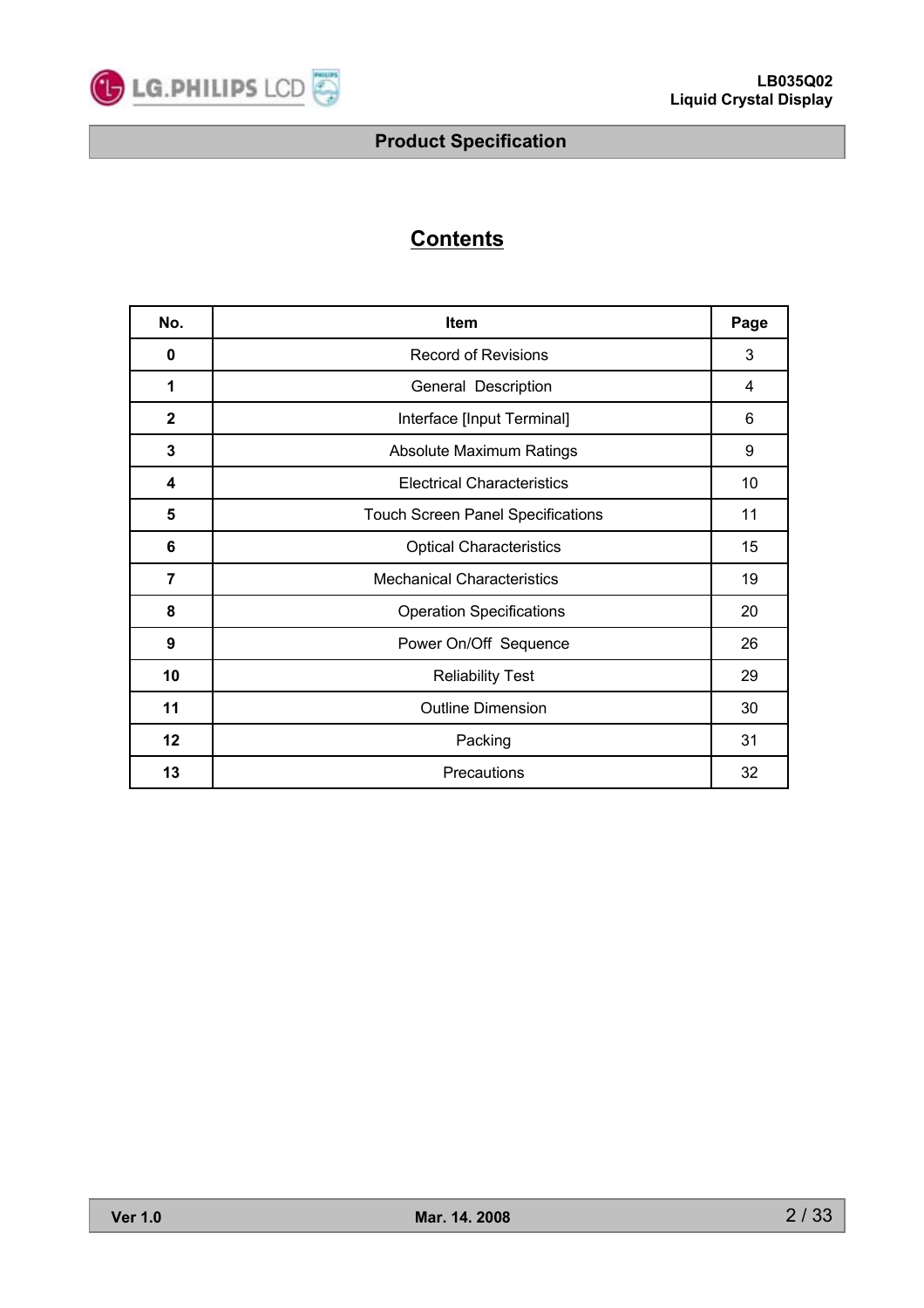

# **Contents**

| No.          | <b>Item</b>                              | Page |
|--------------|------------------------------------------|------|
| 0            | <b>Record of Revisions</b>               | 3    |
| 1            | General Description                      | 4    |
| $\mathbf{2}$ | Interface [Input Terminal]               | 6    |
| 3            | Absolute Maximum Ratings                 | 9    |
| 4            | <b>Electrical Characteristics</b>        | 10   |
| 5            | <b>Touch Screen Panel Specifications</b> | 11   |
| 6            | <b>Optical Characteristics</b>           | 15   |
| 7            | <b>Mechanical Characteristics</b>        | 19   |
| 8            | <b>Operation Specifications</b>          | 20   |
| 9            | Power On/Off Sequence                    | 26   |
| 10           | <b>Reliability Test</b>                  | 29   |
| 11           | <b>Outline Dimension</b>                 | 30   |
| 12           | Packing                                  | 31   |
| 13           | Precautions                              | 32   |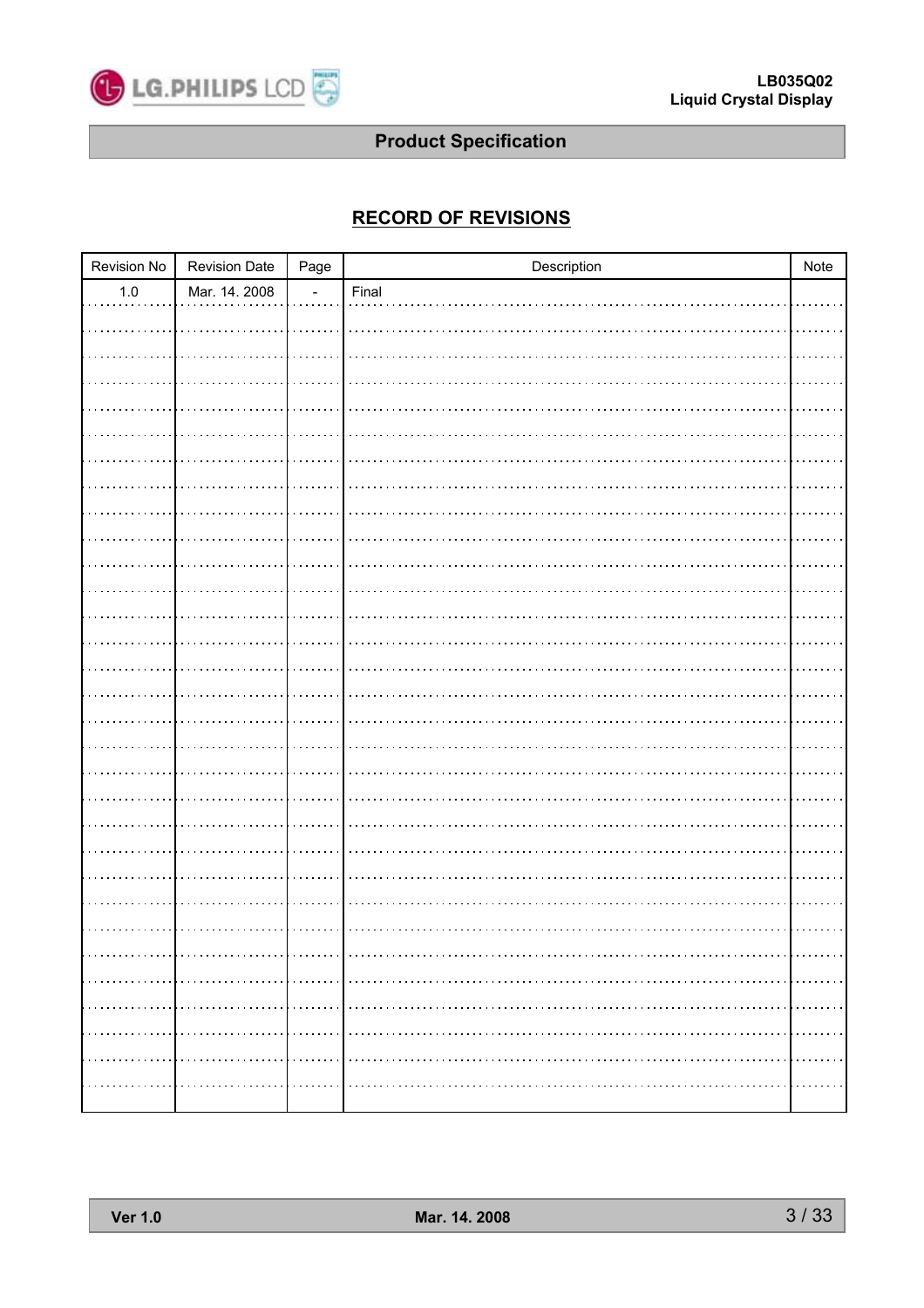

### **RECORD OF REVISIONS**

| Revision No | <b>Revision Date</b> | Page                     | Description | Note   |
|-------------|----------------------|--------------------------|-------------|--------|
| $1.0\,$     | Mar. 14. 2008        | $\overline{\phantom{a}}$ | Final       |        |
|             |                      |                          |             |        |
|             |                      |                          |             |        |
|             |                      |                          |             |        |
|             |                      |                          |             |        |
|             |                      |                          |             |        |
|             |                      |                          |             |        |
|             |                      |                          |             |        |
|             |                      |                          |             |        |
|             |                      |                          |             |        |
|             |                      |                          |             |        |
|             |                      |                          |             |        |
|             |                      |                          |             |        |
|             |                      |                          |             |        |
|             |                      |                          |             |        |
|             |                      |                          |             |        |
|             |                      |                          |             |        |
|             |                      |                          |             |        |
|             |                      |                          |             |        |
|             |                      |                          |             |        |
|             |                      |                          |             |        |
|             |                      |                          |             |        |
|             |                      |                          |             |        |
|             |                      |                          |             |        |
|             |                      |                          |             |        |
|             |                      |                          |             | .      |
| .           |                      |                          |             |        |
|             |                      |                          |             |        |
| .           |                      |                          |             | .<br>. |
| .           |                      |                          |             | .      |
|             |                      |                          |             | .      |
|             |                      |                          |             |        |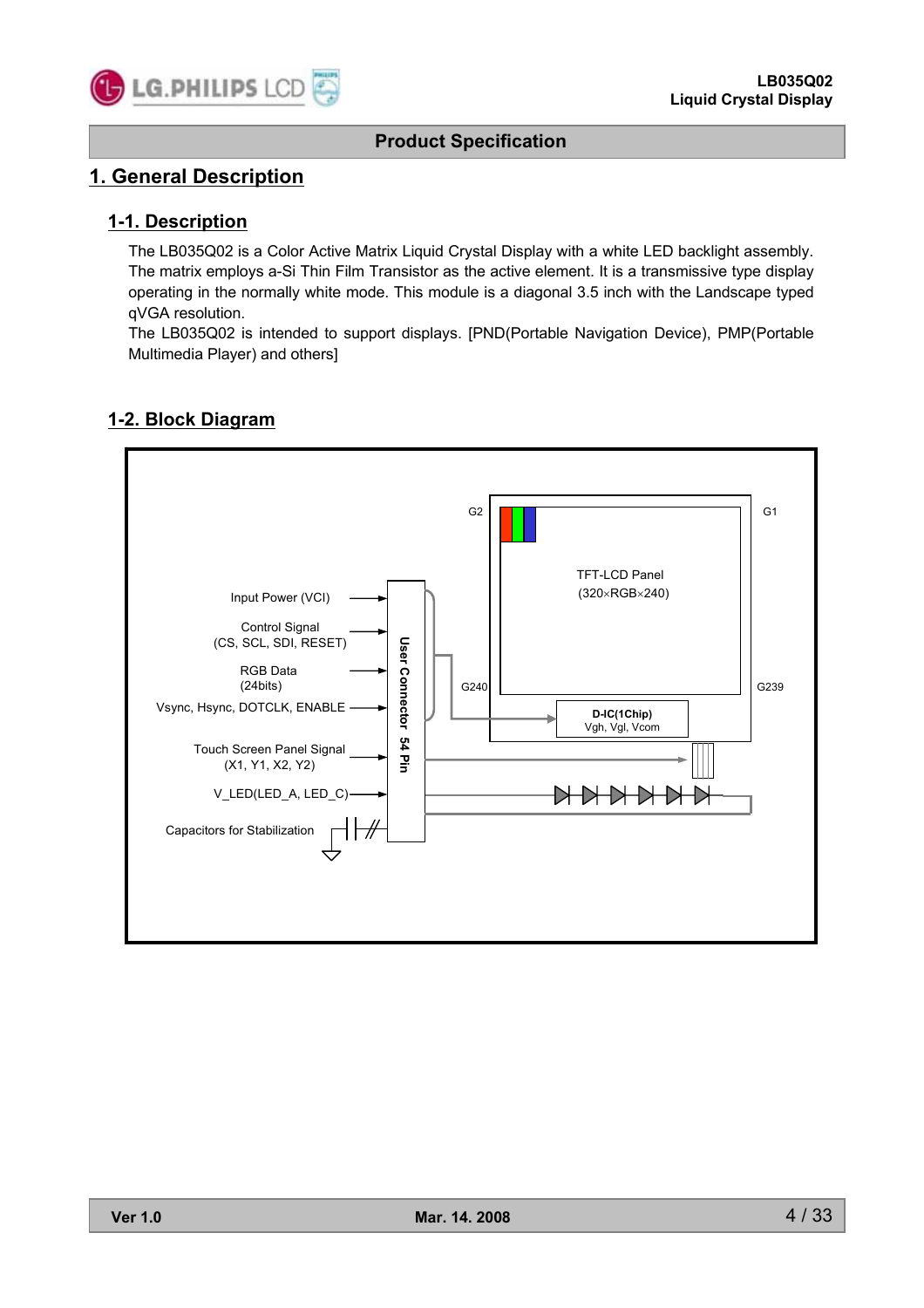

### **1. General Description**

### **1-1. Description**

The LB035Q02 is a Color Active Matrix Liquid Crystal Display with a white LED backlight assembly. The matrix employs a-Si Thin Film Transistor as the active element. It is a transmissive type display operating in the normally white mode. This module is a diagonal 3.5 inch with the Landscape typed qVGA resolution.

The LB035Q02 is intended to support displays. [PND(Portable Navigation Device), PMP(Portable Multimedia Player) and others]

### **1-2. Block Diagram**

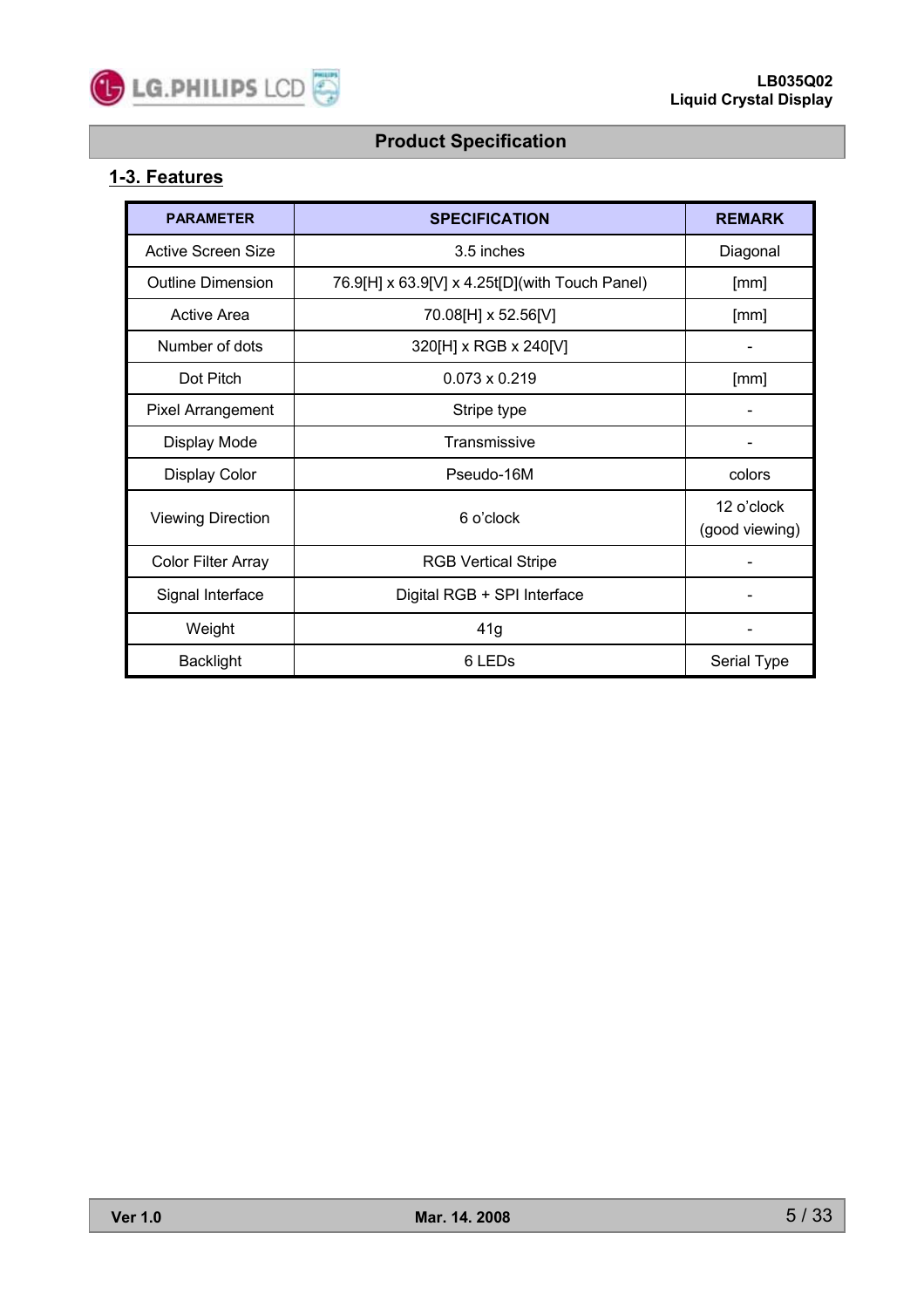

### **1-3. Features**

| <b>PARAMETER</b>         | <b>SPECIFICATION</b>                           | <b>REMARK</b>                |
|--------------------------|------------------------------------------------|------------------------------|
| Active Screen Size       | 3.5 inches                                     | Diagonal                     |
| <b>Outline Dimension</b> | 76.9[H] x 63.9[V] x 4.25t[D](with Touch Panel) | [mm]                         |
| Active Area              | 70.08[H] x 52.56[V]                            | [mm]                         |
| Number of dots           | 320[H] x RGB x 240[V]                          |                              |
| Dot Pitch                | $0.073 \times 0.219$                           | [mm]                         |
| <b>Pixel Arrangement</b> | Stripe type                                    |                              |
| Display Mode             | Transmissive                                   |                              |
| <b>Display Color</b>     | Pseudo-16M                                     | colors                       |
| <b>Viewing Direction</b> | 6 o'clock                                      | 12 o'clock<br>(good viewing) |
| Color Filter Array       | <b>RGB Vertical Stripe</b>                     |                              |
| Signal Interface         | Digital RGB + SPI Interface                    |                              |
| Weight                   | 41g                                            |                              |
| <b>Backlight</b>         | 6 LED <sub>s</sub>                             | Serial Type                  |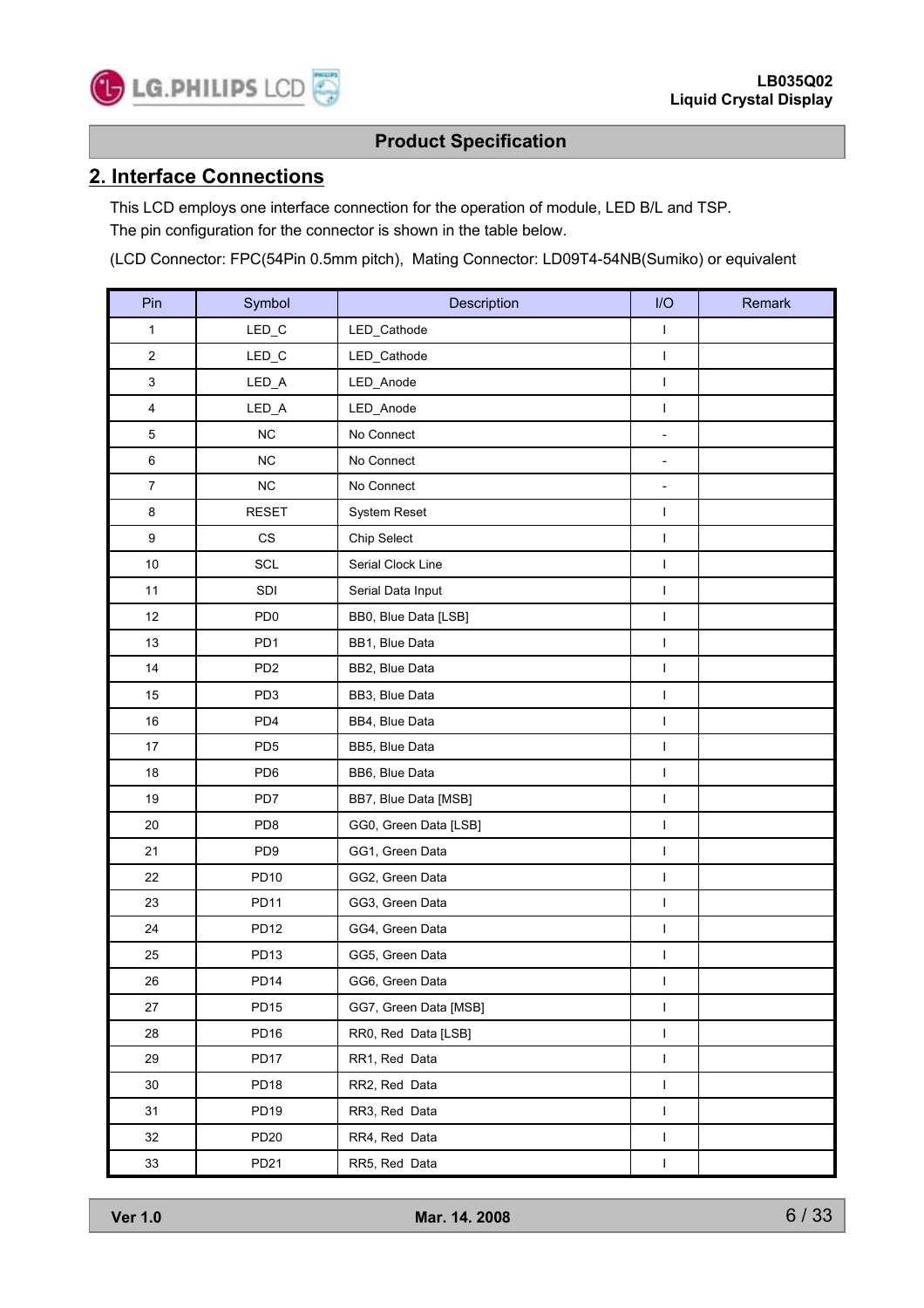

### **2. Interface Connections**

This LCD employs one interface connection for the operation of module, LED B/L and TSP. The pin configuration for the connector is shown in the table below.

(LCD Connector: FPC(54Pin 0.5mm pitch), Mating Connector: LD09T4-54NB(Sumiko) or equivalent

| Pin                         | Symbol                            | Description           | I/O                      | Remark |
|-----------------------------|-----------------------------------|-----------------------|--------------------------|--------|
| 1                           | LED_C                             | LED_Cathode           | I                        |        |
| 2                           | $LED_C$                           | LED_Cathode           | $\mathsf{I}$             |        |
| 3                           | LED_A                             | LED_Anode             | L                        |        |
| 4                           | LED_A                             | LED_Anode             | I                        |        |
| 5                           | NC                                | No Connect            | $\overline{a}$           |        |
| 6                           | NC                                | No Connect            | $\overline{\phantom{0}}$ |        |
| 7                           | <b>NC</b>                         | No Connect            | $\overline{\phantom{0}}$ |        |
| 8                           | <b>RESET</b>                      | System Reset          | L                        |        |
| 9                           | CS                                | Chip Select           | I                        |        |
| $10\,$                      | SCL                               | Serial Clock Line     | I                        |        |
| 11                          | SDI                               | Serial Data Input     | I                        |        |
| 12                          | PD <sub>0</sub>                   | BB0, Blue Data [LSB]  | L                        |        |
| 13                          | PD <sub>1</sub>                   | BB1, Blue Data        | I                        |        |
| 14                          | PD <sub>2</sub>                   | BB2, Blue Data        | I                        |        |
| 15                          | PD <sub>3</sub><br>BB3, Blue Data |                       | I                        |        |
| 16                          | PD4                               | BB4, Blue Data        | I                        |        |
| 17                          | PD <sub>5</sub>                   | BB5, Blue Data        | L                        |        |
| 18                          | PD6                               | BB6, Blue Data        | I                        |        |
| 19                          | PD7                               | BB7, Blue Data [MSB]  | I                        |        |
| 20                          | PD <sub>8</sub>                   | GG0, Green Data [LSB] | I                        |        |
| 21                          | PD <sub>9</sub>                   | GG1, Green Data       | $\mathsf I$              |        |
| 22                          | <b>PD10</b>                       | GG2, Green Data       | $\mathbf{I}$             |        |
| 23                          | <b>PD11</b>                       | GG3, Green Data       | I                        |        |
| 24                          | <b>PD12</b>                       | GG4, Green Data       | I                        |        |
| 25                          | PD <sub>13</sub>                  | GG5, Green Data       | I                        |        |
| $26\,$                      | <b>PD14</b>                       | GG6, Green Data       | I                        |        |
| 27                          | PD <sub>15</sub>                  | GG7, Green Data [MSB] | $\mathsf I$              |        |
| 28                          | PD <sub>16</sub>                  | RR0, Red Data [LSB]   | $\mathsf I$              |        |
| 29                          | PD17                              | RR1, Red Data         | L                        |        |
| 30                          | <b>PD18</b>                       | RR2, Red Data         | I                        |        |
| 31                          | PD <sub>19</sub>                  | RR3, Red Data         | L                        |        |
| 32                          | <b>PD20</b>                       | RR4, Red Data         | $\mathsf I$              |        |
| 33<br>PD21<br>RR5, Red Data |                                   | $\mathsf I$           |                          |        |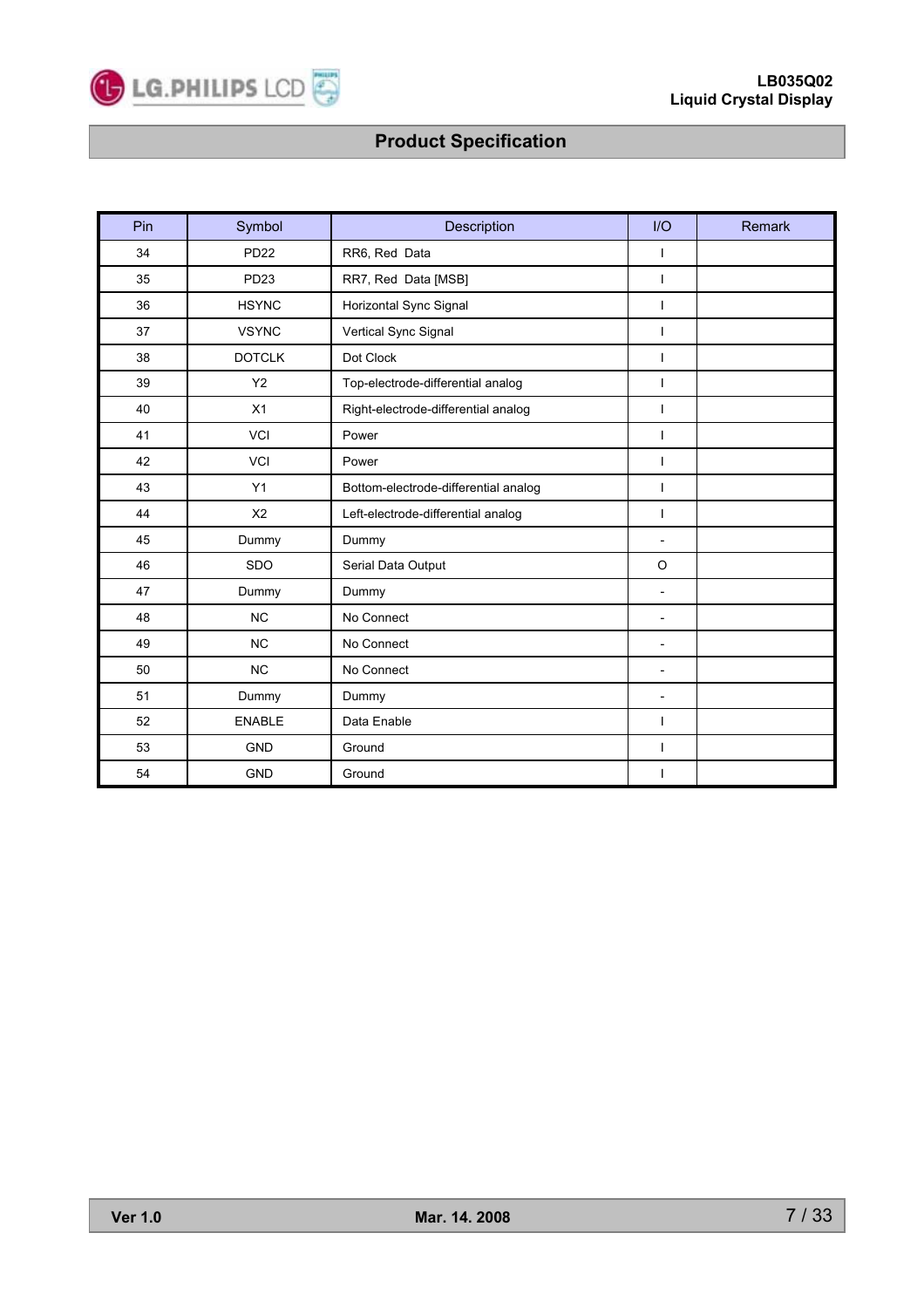

| Pin | Symbol           | Description                          | I/O                      | Remark |
|-----|------------------|--------------------------------------|--------------------------|--------|
| 34  | <b>PD22</b>      | RR6, Red Data                        | ı                        |        |
| 35  | PD <sub>23</sub> | RR7, Red Data [MSB]                  | $\mathbf{I}$             |        |
| 36  | <b>HSYNC</b>     | Horizontal Sync Signal               | $\mathbf{I}$             |        |
| 37  | <b>VSYNC</b>     | Vertical Sync Signal                 | I                        |        |
| 38  | <b>DOTCLK</b>    | Dot Clock                            | $\mathbf{I}$             |        |
| 39  | Y2               | Top-electrode-differential analog    | $\overline{\phantom{a}}$ |        |
| 40  | X1               | Right-electrode-differential analog  | $\overline{1}$           |        |
| 41  | <b>VCI</b>       | Power                                | $\mathbf{I}$             |        |
| 42  | <b>VCI</b>       | Power                                | $\mathbf{I}$             |        |
| 43  | Y1               | Bottom-electrode-differential analog | $\mathbf{I}$             |        |
| 44  | X <sub>2</sub>   | Left-electrode-differential analog   | T                        |        |
| 45  | Dummy            | Dummy                                | $\overline{\phantom{a}}$ |        |
| 46  | SDO              | Serial Data Output                   | $\circ$                  |        |
| 47  | Dummy            | Dummy                                | $\overline{\phantom{a}}$ |        |
| 48  | <b>NC</b>        | No Connect                           | $\overline{\phantom{a}}$ |        |
| 49  | <b>NC</b>        | No Connect                           | $\overline{\phantom{a}}$ |        |
| 50  | <b>NC</b>        | No Connect                           | $\overline{\phantom{a}}$ |        |
| 51  | Dummy            | Dummy                                | $\overline{\phantom{a}}$ |        |
| 52  | <b>ENABLE</b>    | Data Enable                          | $\overline{1}$           |        |
| 53  | <b>GND</b>       | Ground                               | T                        |        |
| 54  | <b>GND</b>       | Ground                               | $\mathbf{I}$             |        |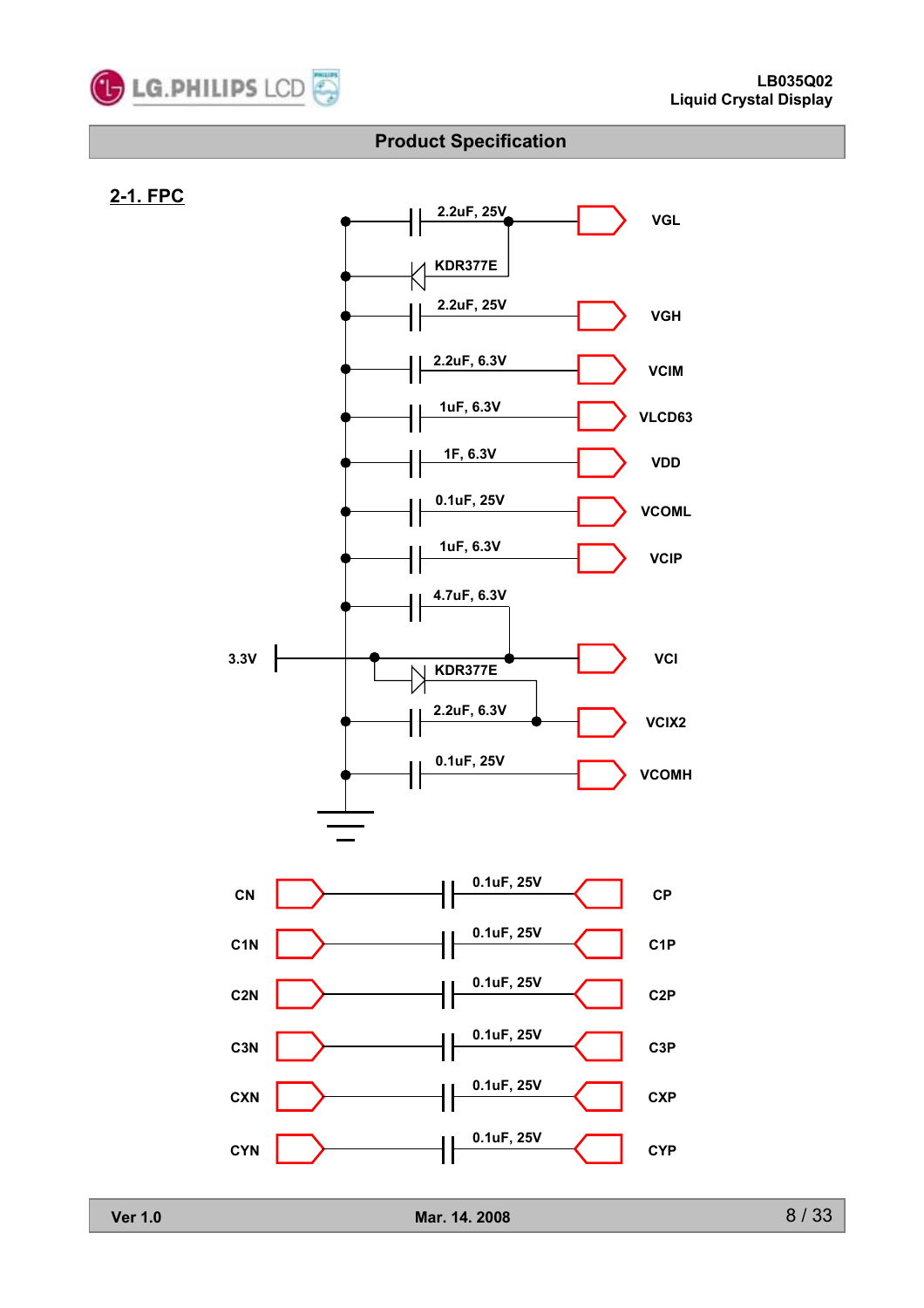

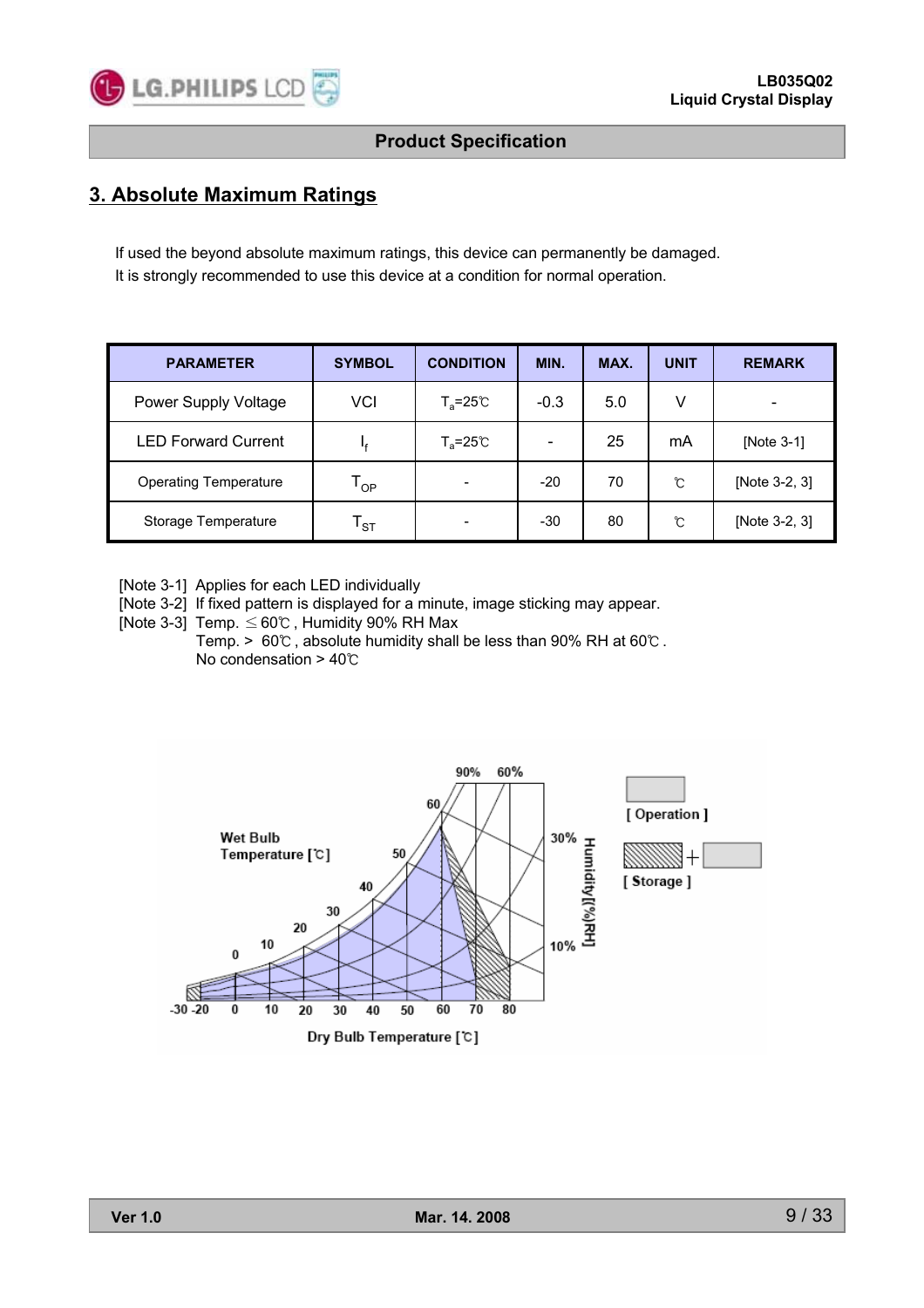

### **3. Absolute Maximum Ratings**

If used the beyond absolute maximum ratings, this device can permanently be damaged. It is strongly recommended to use this device at a condition for normal operation.

| <b>PARAMETER</b>             | <b>SYMBOL</b>              | <b>CONDITION</b>          | MIN.   | MAX. | <b>UNIT</b> | <b>REMARK</b>            |
|------------------------------|----------------------------|---------------------------|--------|------|-------------|--------------------------|
| Power Supply Voltage         | VCI                        | $T_a = 25^{\circ}C$       | $-0.3$ | 5.0  | v           | $\overline{\phantom{a}}$ |
| <b>LED Forward Current</b>   | I۴                         | $T_a = 25^\circ \text{C}$ |        | 25   | mA          | [Note 3-1]               |
| <b>Operating Temperature</b> | $\mathsf{T}_{\mathsf{OP}}$ |                           | $-20$  | 70   | ົ           | [Note 3-2, 3]            |
| Storage Temperature          | $\mathsf{T}_{\texttt{ST}}$ |                           | $-30$  | 80   | ົ           | [Note 3-2, 3]            |

[Note 3-1] Applies for each LED individually

[Note 3-2] If fixed pattern is displayed for a minute, image sticking may appear.

[Note 3-3] Temp.  $\leq 60^{\circ}$  , Humidity 90% RH Max

Temp. > 60℃ , absolute humidity shall be less than 90% RH at 60℃ . No condensation > 40℃

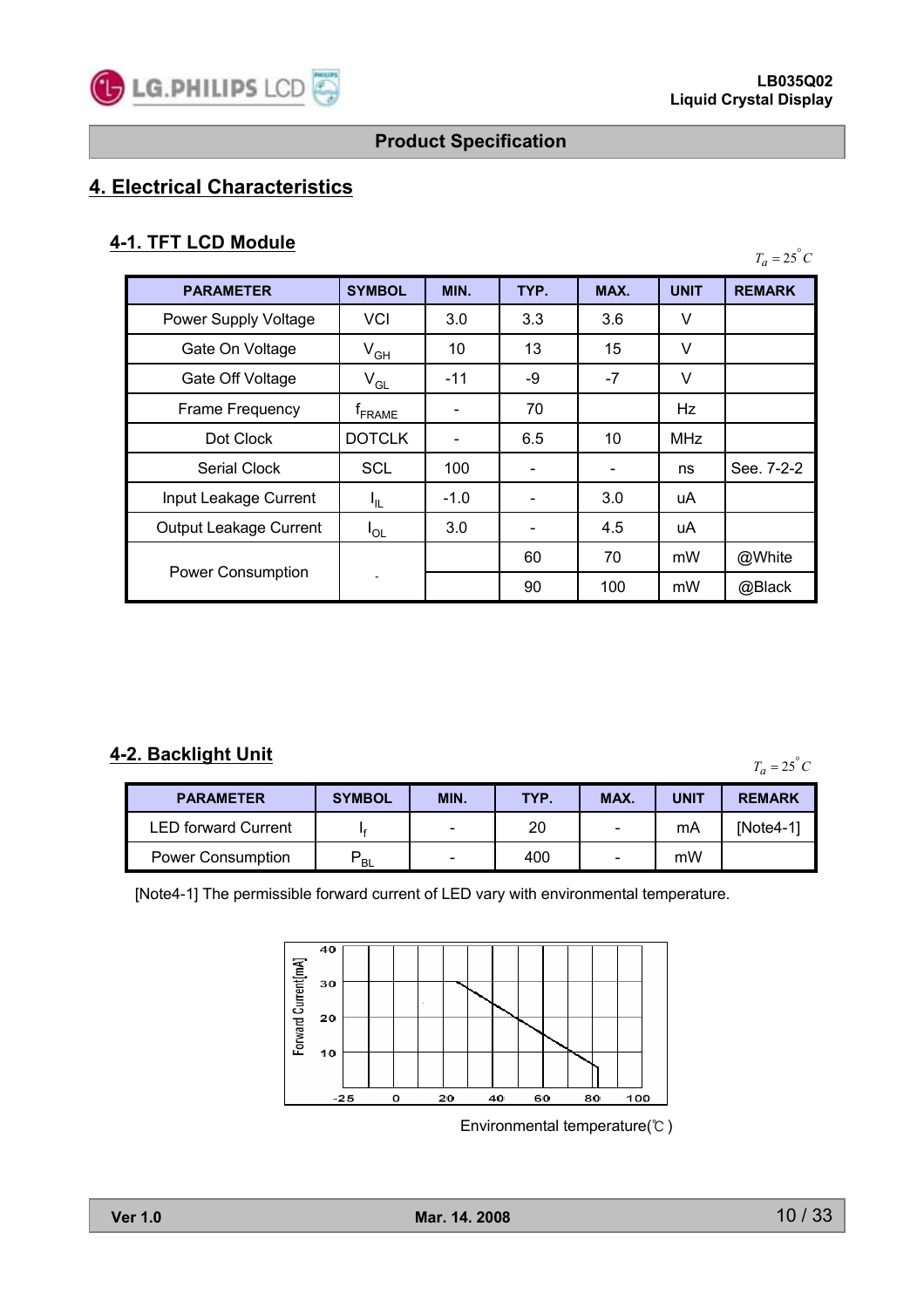

# **4. Electrical Characteristics**

### **4-1. TFT LCD Module**

| <b>PARAMETER</b>         | <b>SYMBOL</b>      | MIN.   | TYP. | MAX.            | <b>UNIT</b> | <b>REMARK</b> |
|--------------------------|--------------------|--------|------|-----------------|-------------|---------------|
| Power Supply Voltage     | <b>VCI</b>         | 3.0    | 3.3  | 3.6             | ٧           |               |
| Gate On Voltage          | $V_{GH}$           | 10     | 13   | 15              | v           |               |
| Gate Off Voltage         | $V_{GL}$           | $-11$  | -9   | -7              | V           |               |
| Frame Frequency          | <sup>T</sup> FRAME |        | 70   |                 | Hz          |               |
| Dot Clock                | <b>DOTCLK</b>      |        | 6.5  | 10              | <b>MHz</b>  |               |
| <b>Serial Clock</b>      | <b>SCL</b>         | 100    |      | $\qquad \qquad$ | ns          | See. 7-2-2    |
| Input Leakage Current    | Կ∟                 | $-1.0$ |      | 3.0             | uA          |               |
| Output Leakage Current   | $I_{OL}$           | 3.0    |      | 4.5             | uA          |               |
|                          |                    |        | 60   | 70              | mW          | @White        |
| <b>Power Consumption</b> |                    |        | 90   | 100             | mW          | @Black        |

### **4-2. Backlight Unit**

 $T_a = 25^\circ C$ 

| <b>PARAMETER</b>           | <b>SYMBOL</b>  | MIN. | TYP. | MAX. | <b>UNIT</b> | <b>REMARK</b> |
|----------------------------|----------------|------|------|------|-------------|---------------|
| <b>LED forward Current</b> |                |      | 20   | -    | mA          | INote4-11     |
| <b>Power Consumption</b>   | D<br><b>BL</b> |      | 400  | -    | mW          |               |

[Note4-1] The permissible forward current of LED vary with environmental temperature.



Environmental temperature(℃ )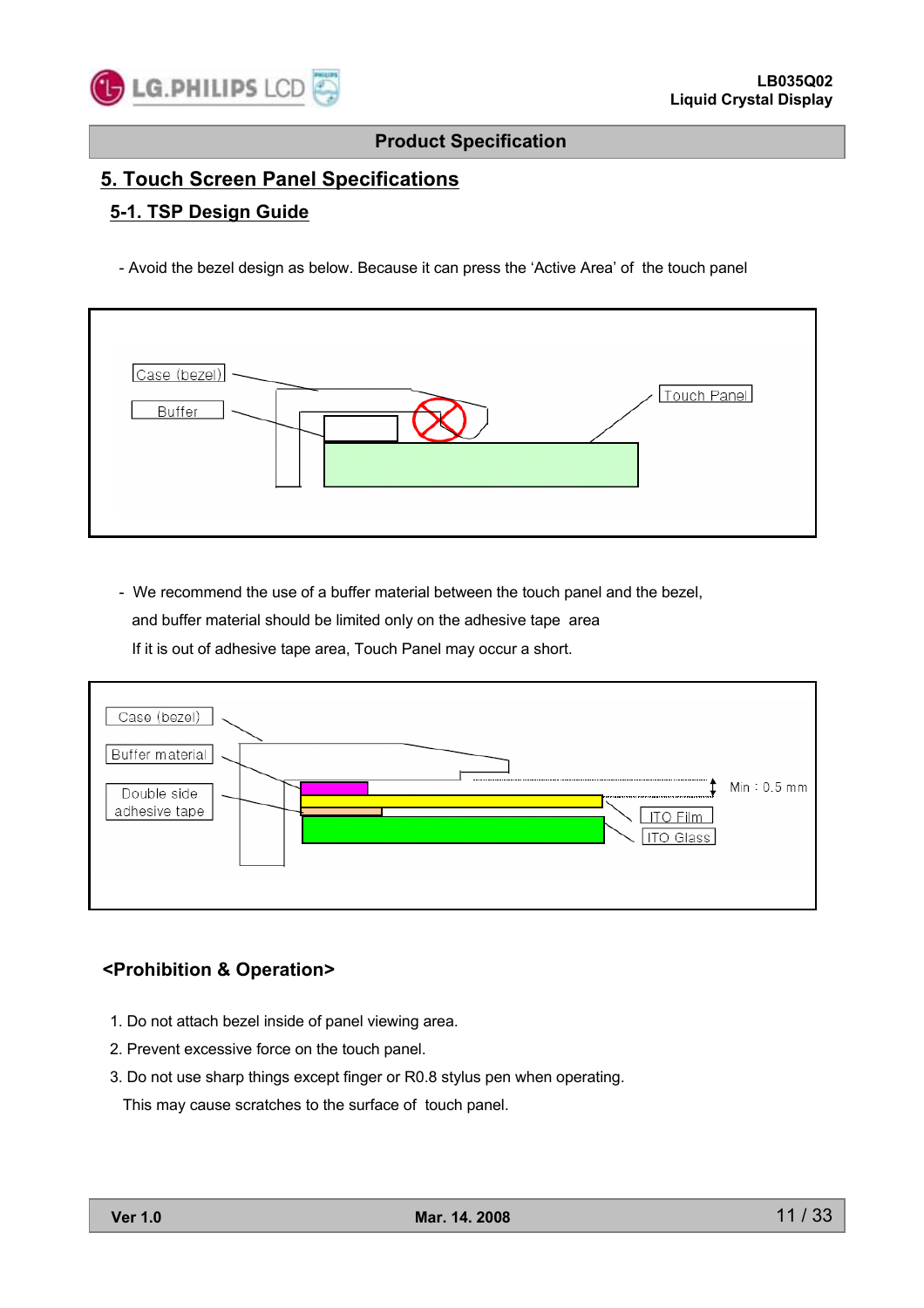

### **5. Touch Screen Panel Specifications**

#### **5-1. TSP Design Guide**

- Avoid the bezel design as below. Because it can press the 'Active Area' of the touch panel



- We recommend the use of a buffer material between the touch panel and the bezel, and buffer material should be limited only on the adhesive tape area If it is out of adhesive tape area, Touch Panel may occur a short.

| Case (bezel)<br>Buffer material<br>Double side<br>adhesive tape<br>ITO Film<br>ITO Glass | $Min: 0.5$ mm |
|------------------------------------------------------------------------------------------|---------------|
|                                                                                          |               |

#### **<Prohibition & Operation>**

- 1. Do not attach bezel inside of panel viewing area.
- 2. Prevent excessive force on the touch panel.
- 3. Do not use sharp things except finger or R0.8 stylus pen when operating.

This may cause scratches to the surface of touch panel.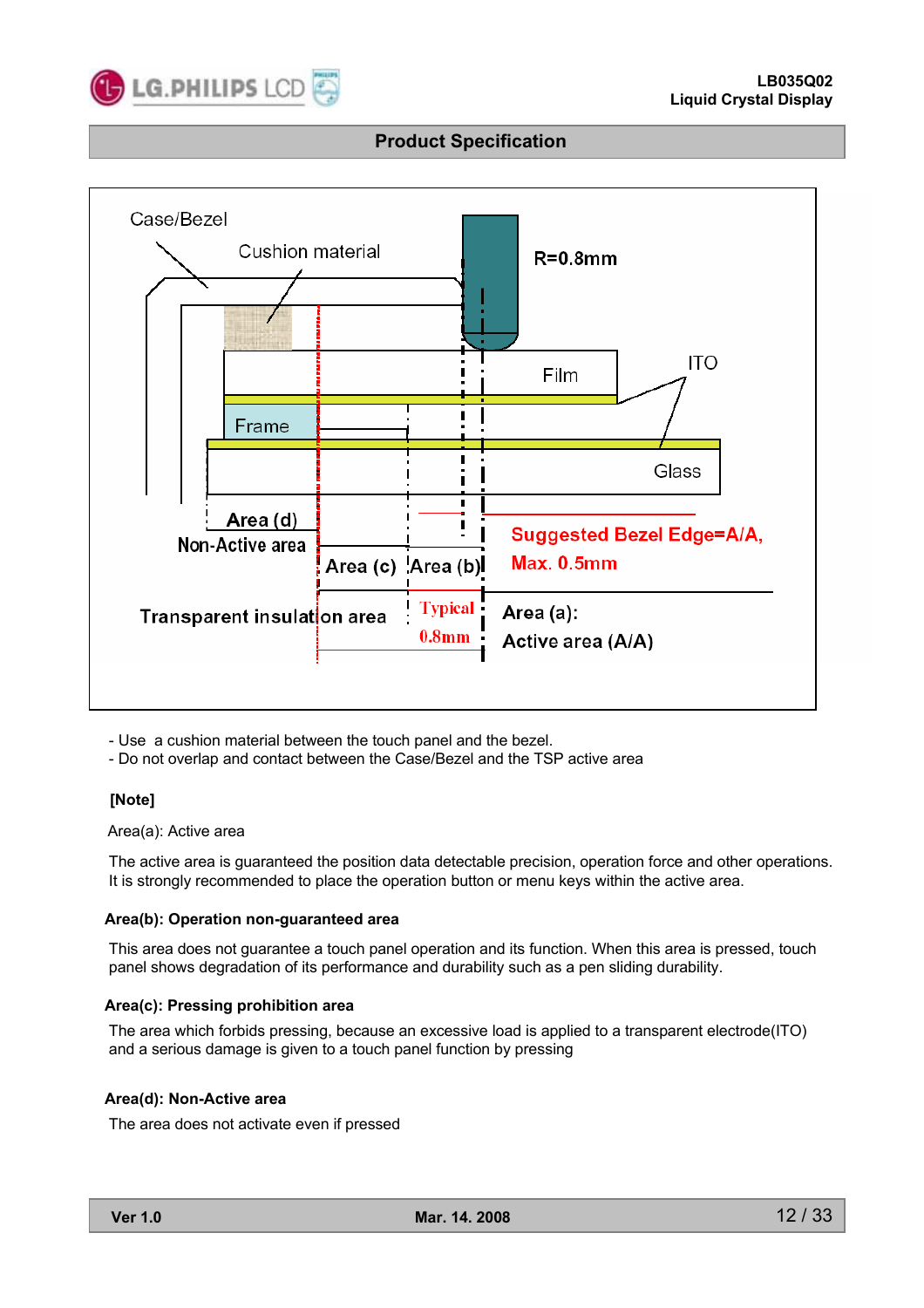



- Use a cushion material between the touch panel and the bezel.

- Do not overlap and contact between the Case/Bezel and the TSP active area

#### **[Note]**

#### Area(a): Active area

The active area is guaranteed the position data detectable precision, operation force and other operations. It is strongly recommended to place the operation button or menu keys within the active area.

#### **Area(b): Operation non-guaranteed area**

This area does not guarantee a touch panel operation and its function. When this area is pressed, touch panel shows degradation of its performance and durability such as a pen sliding durability.

#### **Area(c): Pressing prohibition area**

The area which forbids pressing, because an excessive load is applied to a transparent electrode(ITO) and a serious damage is given to a touch panel function by pressing

#### **Area(d): Non-Active area**

The area does not activate even if pressed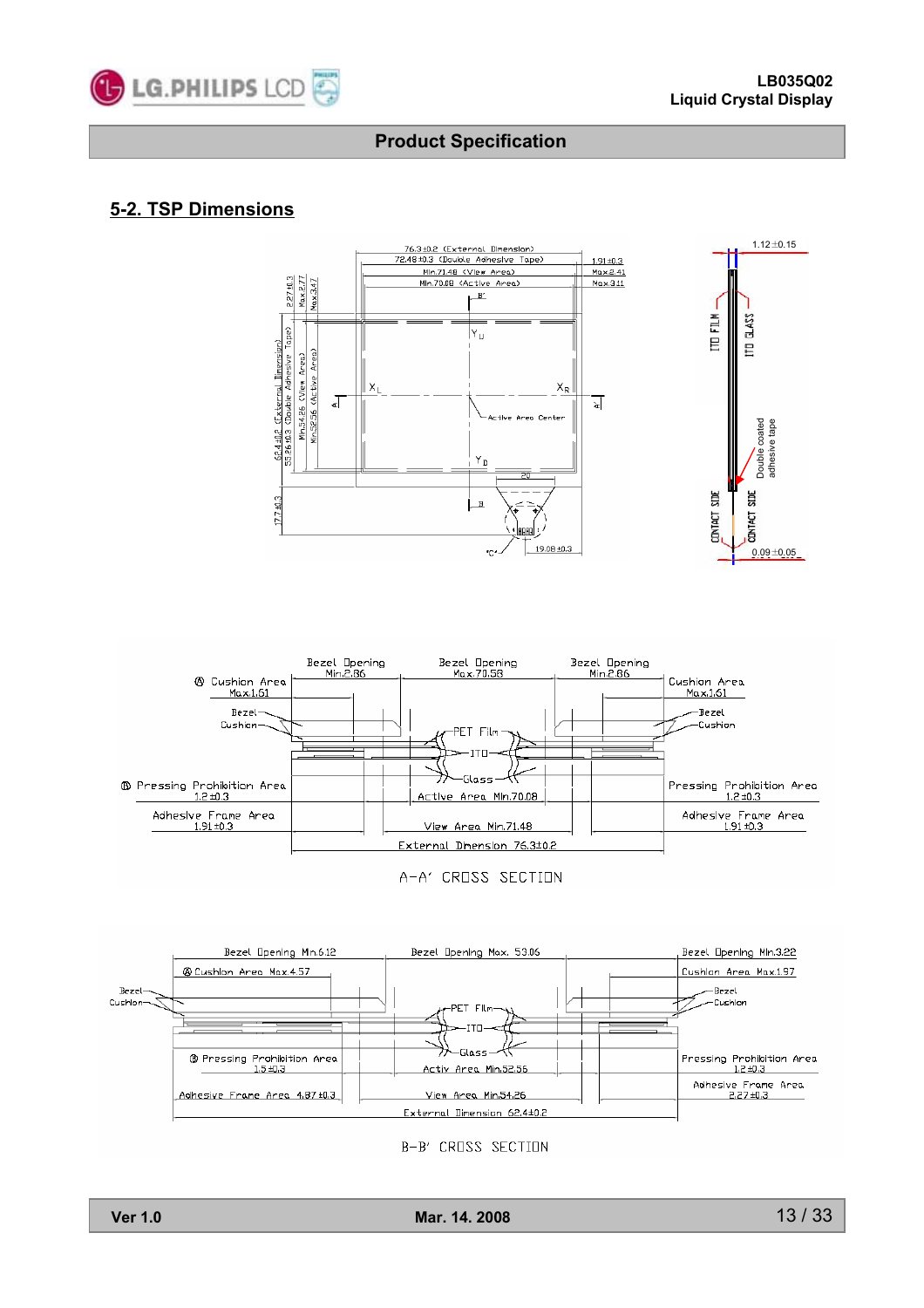

### **5-2. TSP Dimensions**





A-A' CROSS SECTION



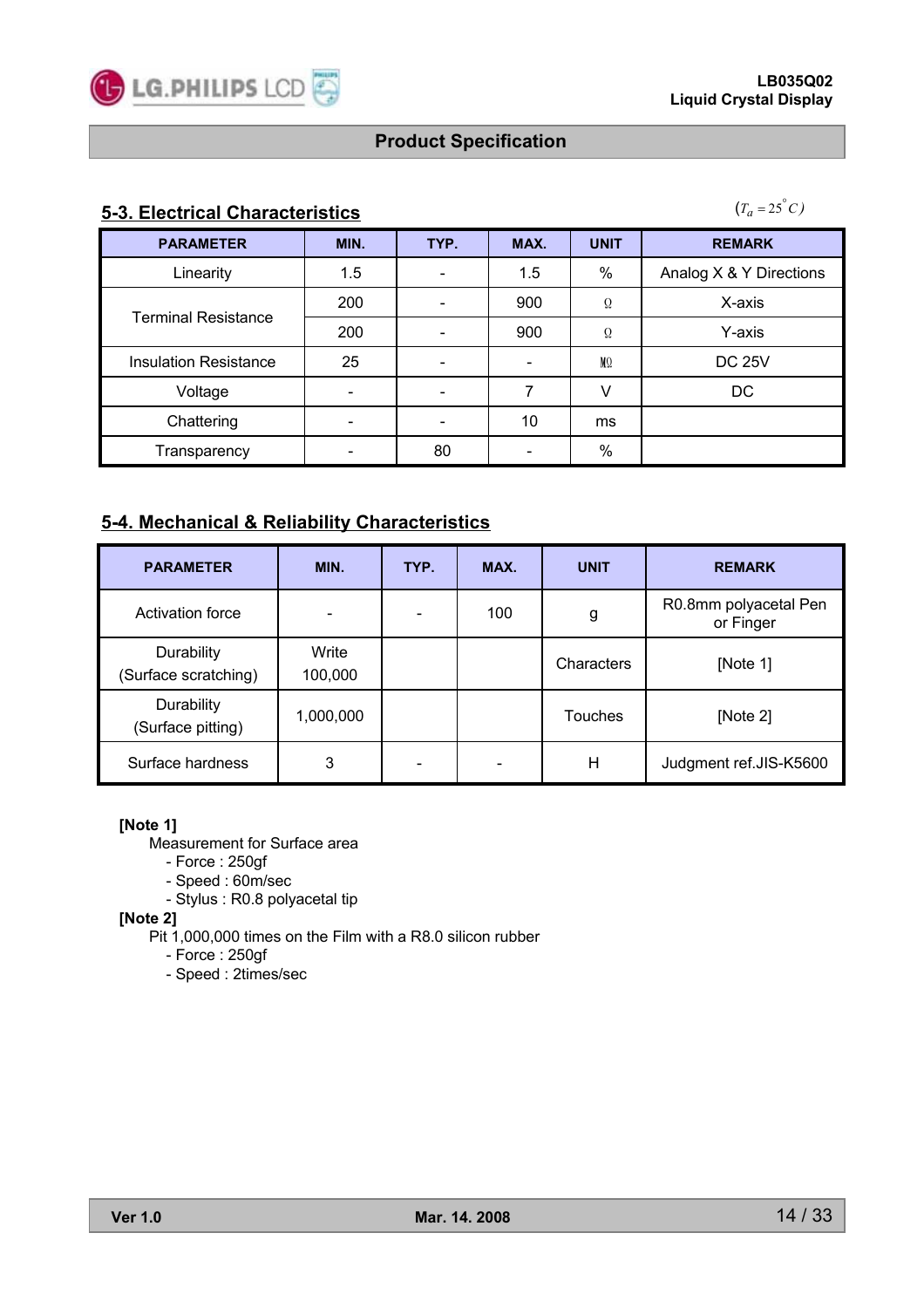

### **5-3. Electrical Characteristics**

 $(T_a = 25^\circ C)$ 

| <b>PARAMETER</b>             | MIN. | TYP.            | MAX. | <b>UNIT</b>    | <b>REMARK</b>           |
|------------------------------|------|-----------------|------|----------------|-------------------------|
| Linearity                    | 1.5  | $\qquad \qquad$ | 1.5  | %              | Analog X & Y Directions |
|                              | 200  |                 | 900  | $\Omega$       | X-axis                  |
| <b>Terminal Resistance</b>   | 200  |                 | 900  | $\Omega$       | Y-axis                  |
| <b>Insulation Resistance</b> | 25   | -               |      | M <sub>0</sub> | <b>DC 25V</b>           |
| Voltage                      |      | -               |      |                | DC                      |
| Chattering                   |      |                 | 10   | ms             |                         |
| Transparency                 |      | 80              |      | $\%$           |                         |

### **5-4. Mechanical & Reliability Characteristics**

| <b>PARAMETER</b>                   | MIN.             | TYP. | MAX. | <b>UNIT</b> | <b>REMARK</b>                      |
|------------------------------------|------------------|------|------|-------------|------------------------------------|
| Activation force                   |                  |      | 100  | g           | R0.8mm polyacetal Pen<br>or Finger |
| Durability<br>(Surface scratching) | Write<br>100,000 |      |      | Characters  | [Note 1]                           |
| Durability<br>(Surface pitting)    | 1,000,000        |      |      | Touches     | [Note $2$ ]                        |
| Surface hardness                   | 3                |      | -    | Н           | Judgment ref.JIS-K5600             |

#### **[Note 1]**

Measurement for Surface area

- Force : 250gf

- Speed : 60m/sec

- Stylus : R0.8 polyacetal tip

**[Note 2]**

Pit 1,000,000 times on the Film with a R8.0 silicon rubber

- Force : 250gf

- Speed : 2times/sec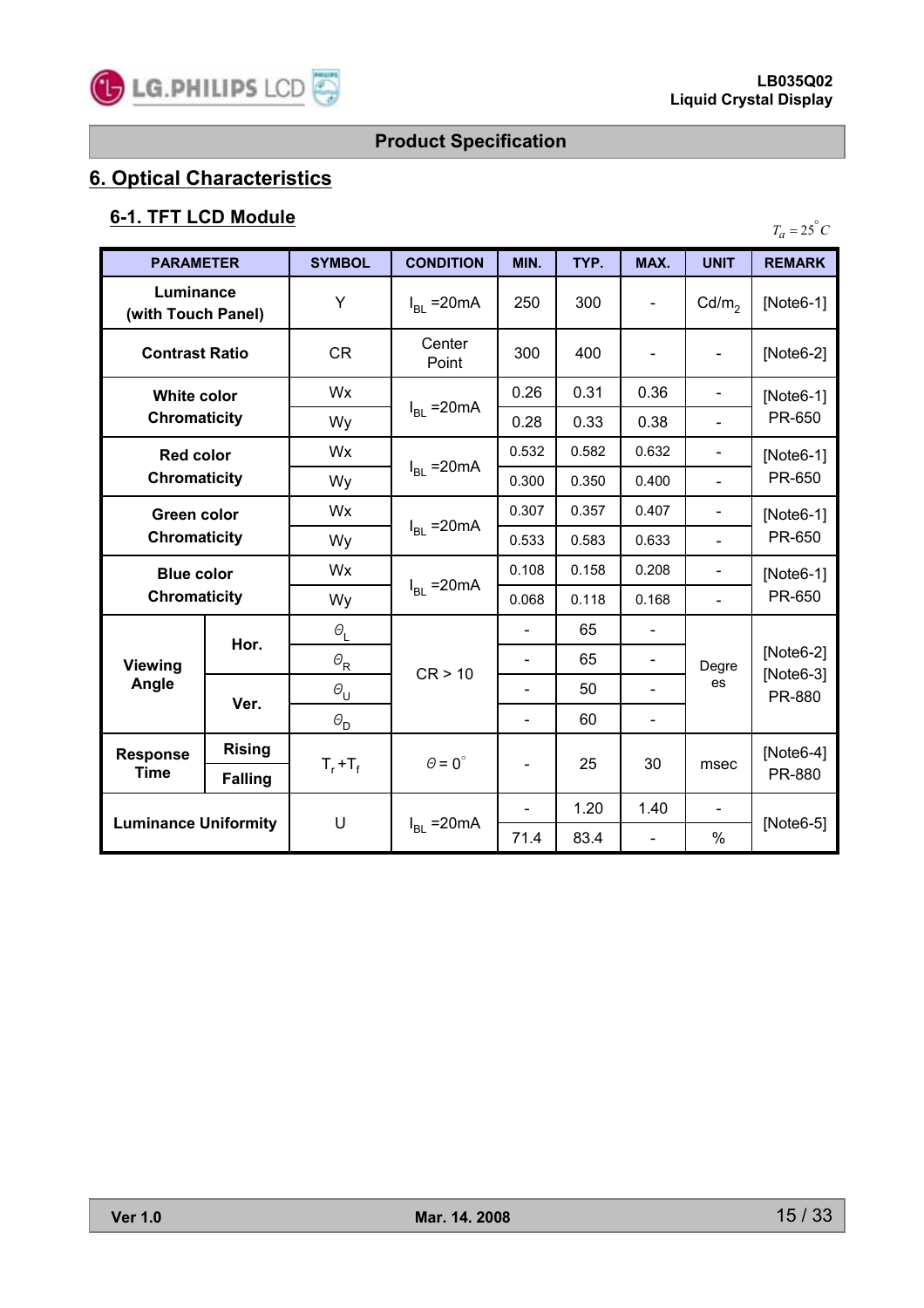

# **6. Optical Characteristics**

# **6-1. TFT LCD Module**

| <b>PARAMETER</b>                          |                | <b>SYMBOL</b>            | <b>CONDITION</b>     | MIN.                         | TYP.  | MAX.                     | <b>UNIT</b>                  | <b>REMARK</b>           |
|-------------------------------------------|----------------|--------------------------|----------------------|------------------------------|-------|--------------------------|------------------------------|-------------------------|
| Luminance<br>(with Touch Panel)           |                | Y                        | $I_{BL}$ = 20 mA     | 250                          | 300   |                          | Cd/m <sub>2</sub>            | [Note6-1]               |
| <b>Contrast Ratio</b>                     |                | <b>CR</b>                | Center<br>Point      | 300                          | 400   |                          |                              | [Note6-2]               |
| White color                               |                | Wx                       |                      | 0.26                         | 0.31  | 0.36                     | $\blacksquare$               | [Note6-1]               |
| <b>Chromaticity</b>                       |                | Wy                       | $I_{BL}$ = 20 mA     | 0.28                         | 0.33  | 0.38                     | $\blacksquare$               | PR-650                  |
| <b>Red color</b>                          |                | Wx                       |                      | 0.532                        | 0.582 | 0.632                    | $\blacksquare$               | [Note6-1]               |
| <b>Chromaticity</b>                       |                | Wy                       | $I_{BL}$ = 20 mA     | 0.300                        | 0.350 | 0.400                    | $\overline{a}$               | PR-650                  |
| <b>Green color</b><br><b>Chromaticity</b> |                | Wx                       |                      | 0.307                        | 0.357 | 0.407                    | $\overline{\phantom{a}}$     | [Note6-1]               |
|                                           |                | Wy                       | $I_{BL}$ = 20 mA     | 0.533                        | 0.583 | 0.633                    | $\blacksquare$               | PR-650                  |
| <b>Blue color</b>                         |                | Wx                       |                      | 0.108                        | 0.158 | 0.208                    | $\qquad \qquad \blacksquare$ | [Note6-1]               |
| <b>Chromaticity</b>                       |                | Wy                       | $IRI = 20mA$         | 0.068                        | 0.118 | 0.168                    | $\blacksquare$               | PR-650                  |
|                                           | Hor.           | $\varTheta_{\rm L}$      |                      | ÷,                           | 65    |                          | Degre<br>es                  | $[Note6-2]$             |
| <b>Viewing</b>                            |                | $\varTheta_{\sf R}$      | CR > 10              | ÷                            | 65    | $\overline{\phantom{0}}$ |                              |                         |
| Angle                                     | Ver.           | $\Theta_{\text{U}}$      |                      |                              | 50    |                          |                              | [ $Note6-3$ ]<br>PR-880 |
|                                           |                | $\varTheta_{\mathsf{D}}$ |                      | $\blacksquare$               | 60    |                          |                              |                         |
| <b>Response</b><br><b>Time</b>            | <b>Rising</b>  |                          | $\theta = 0^{\circ}$ |                              | 25    | 30                       | msec                         | $[Note6-4]$             |
|                                           | <b>Falling</b> | $T_r + T_f$              |                      | $\qquad \qquad \blacksquare$ |       |                          |                              | PR-880                  |
| <b>Luminance Uniformity</b>               |                |                          |                      |                              | 1.20  | 1.40                     |                              |                         |
|                                           |                | U                        | $I_{BL}$ = 20 mA     | 71.4                         | 83.4  |                          | $\%$                         | $[Note6-5]$             |

 $T_a = 25^\circ C$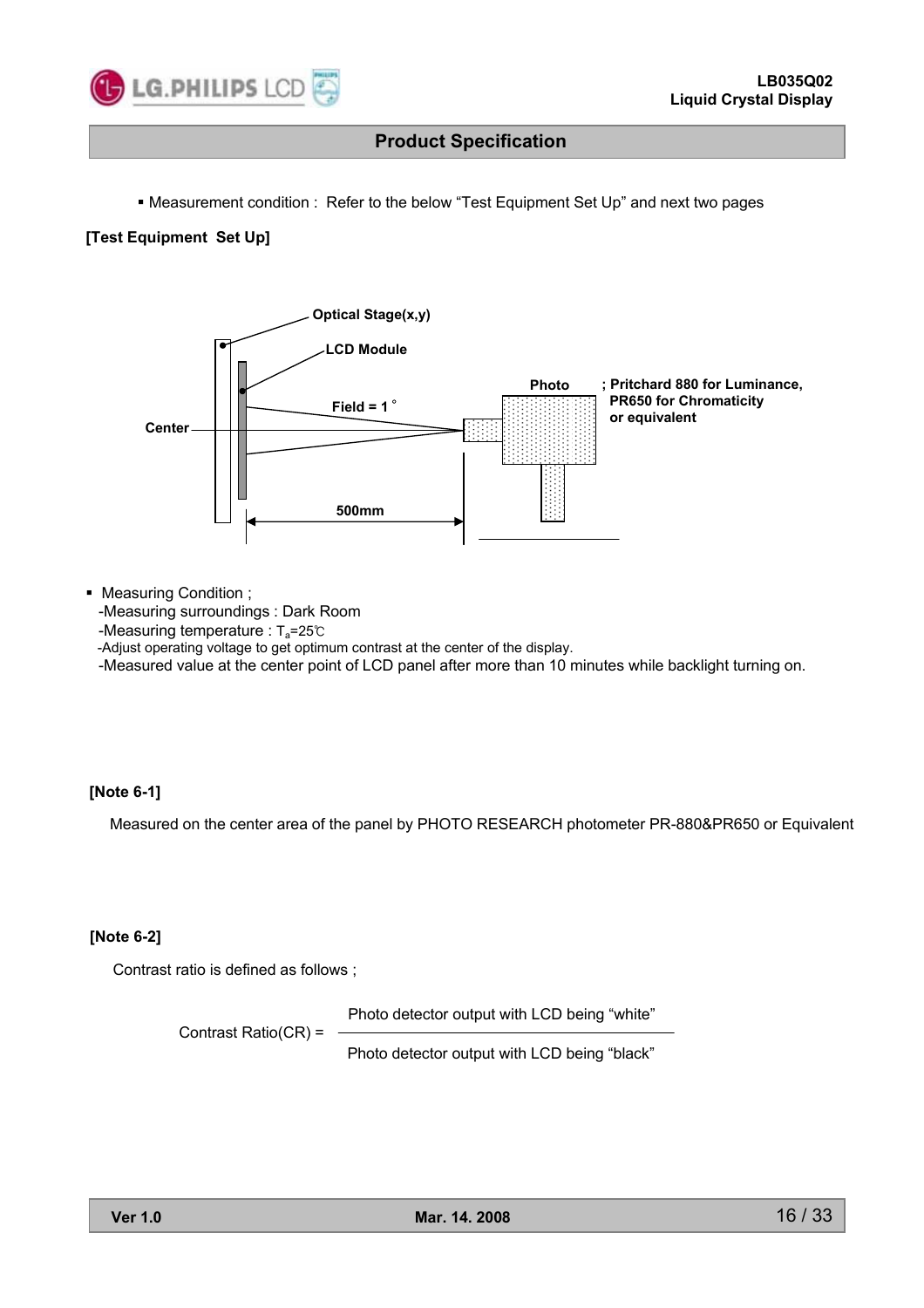

Measurement condition : Refer to the below "Test Equipment Set Up" and next two pages

#### **[Test Equipment Set Up]**



Measuring Condition ;

-Measuring surroundings : Dark Room

-Measuring temperature : T<sub>a</sub>=25℃

-Adjust operating voltage to get optimum contrast at the center of the display.

-Measured value at the center point of LCD panel after more than 10 minutes while backlight turning on.

#### **[Note 6-1]**

Measured on the center area of the panel by PHOTO RESEARCH photometer PR-880&PR650 or Equivalent

#### **[Note 6-2]**

Contrast ratio is defined as follows ;

Photo detector output with LCD being "white"

Contrast Ratio(CR) =

Photo detector output with LCD being "black"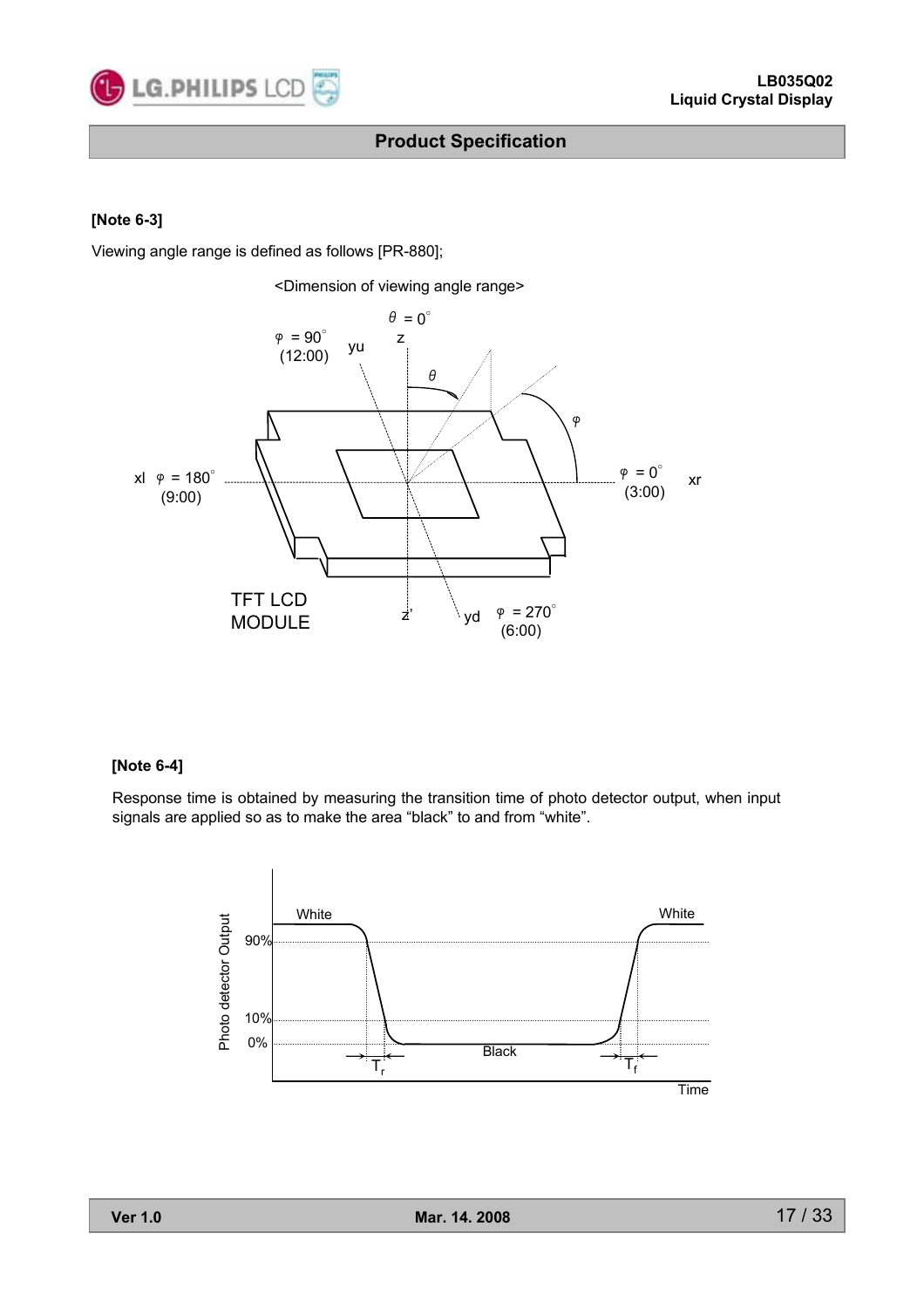

#### **[Note 6-3]**

Viewing angle range is defined as follows [PR-880];



#### **[Note 6-4]**

Response time is obtained by measuring the transition time of photo detector output, when input signals are applied so as to make the area "black" to and from "white".

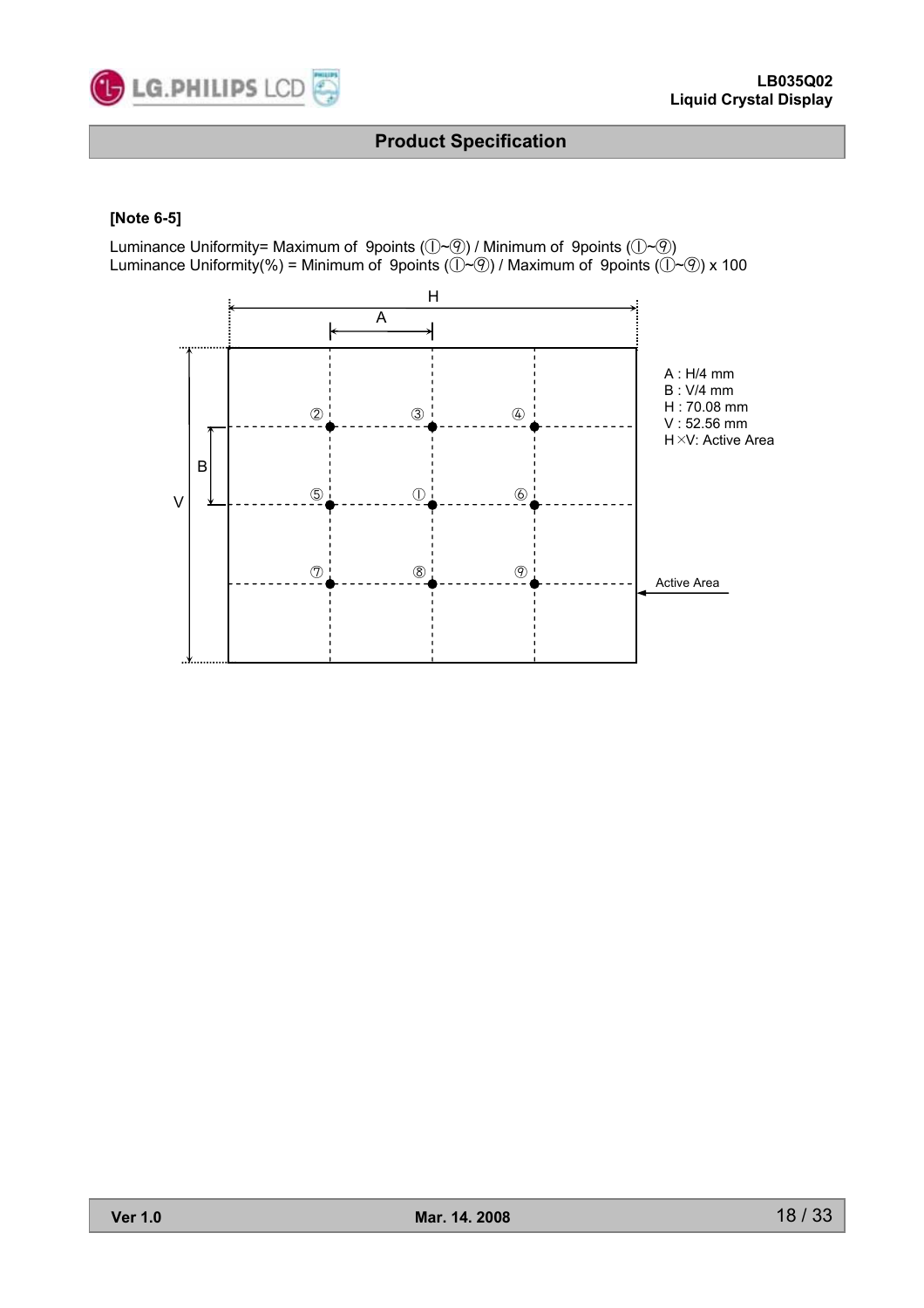

#### **[Note 6-5]**

Luminance Uniformity= Maximum of 9points (①~⑨) / Minimum of 9points (①~⑨) Luminance Uniformity(%) = Minimum of 9points ( $\widetilde{()} \sim \mathcal{P}()$  / Maximum of 9points ( $\widetilde{()} \sim \mathcal{P}()$ ) x 100

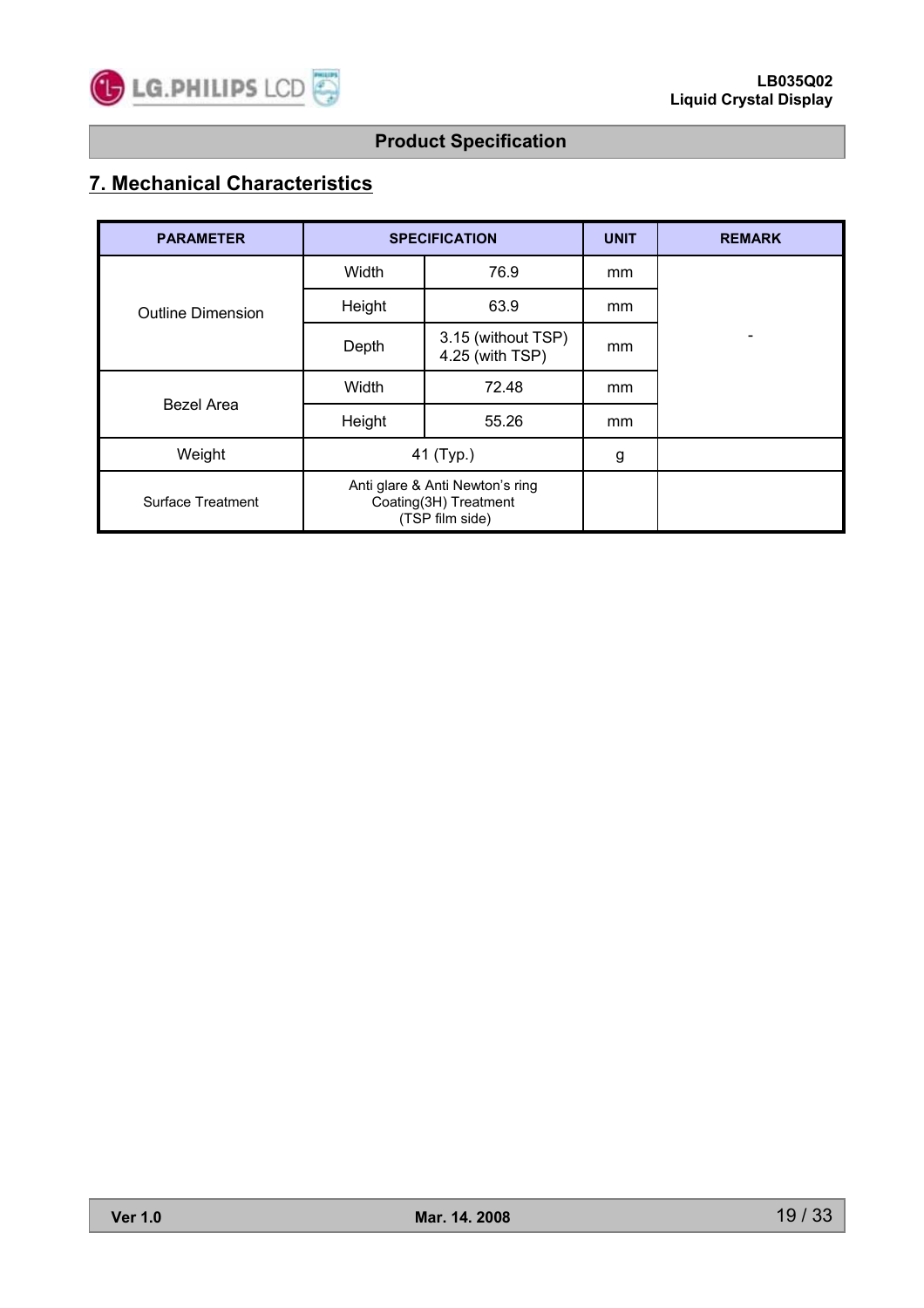

# **7. Mechanical Characteristics**

| <b>PARAMETER</b>         |        | <b>SPECIFICATION</b>                                                        | <b>UNIT</b> | <b>REMARK</b> |
|--------------------------|--------|-----------------------------------------------------------------------------|-------------|---------------|
|                          | Width  | 76.9                                                                        | mm          |               |
| <b>Outline Dimension</b> | Height | 63.9                                                                        | mm          |               |
|                          | Depth  | 3.15 (without TSP)<br>4.25 (with TSP)                                       | mm          |               |
| <b>Bezel Area</b>        | Width  | 72.48                                                                       | mm          |               |
|                          | Height | 55.26                                                                       | mm          |               |
| Weight                   |        | 41 (Typ.)                                                                   | g           |               |
| Surface Treatment        |        | Anti glare & Anti Newton's ring<br>Coating(3H) Treatment<br>(TSP film side) |             |               |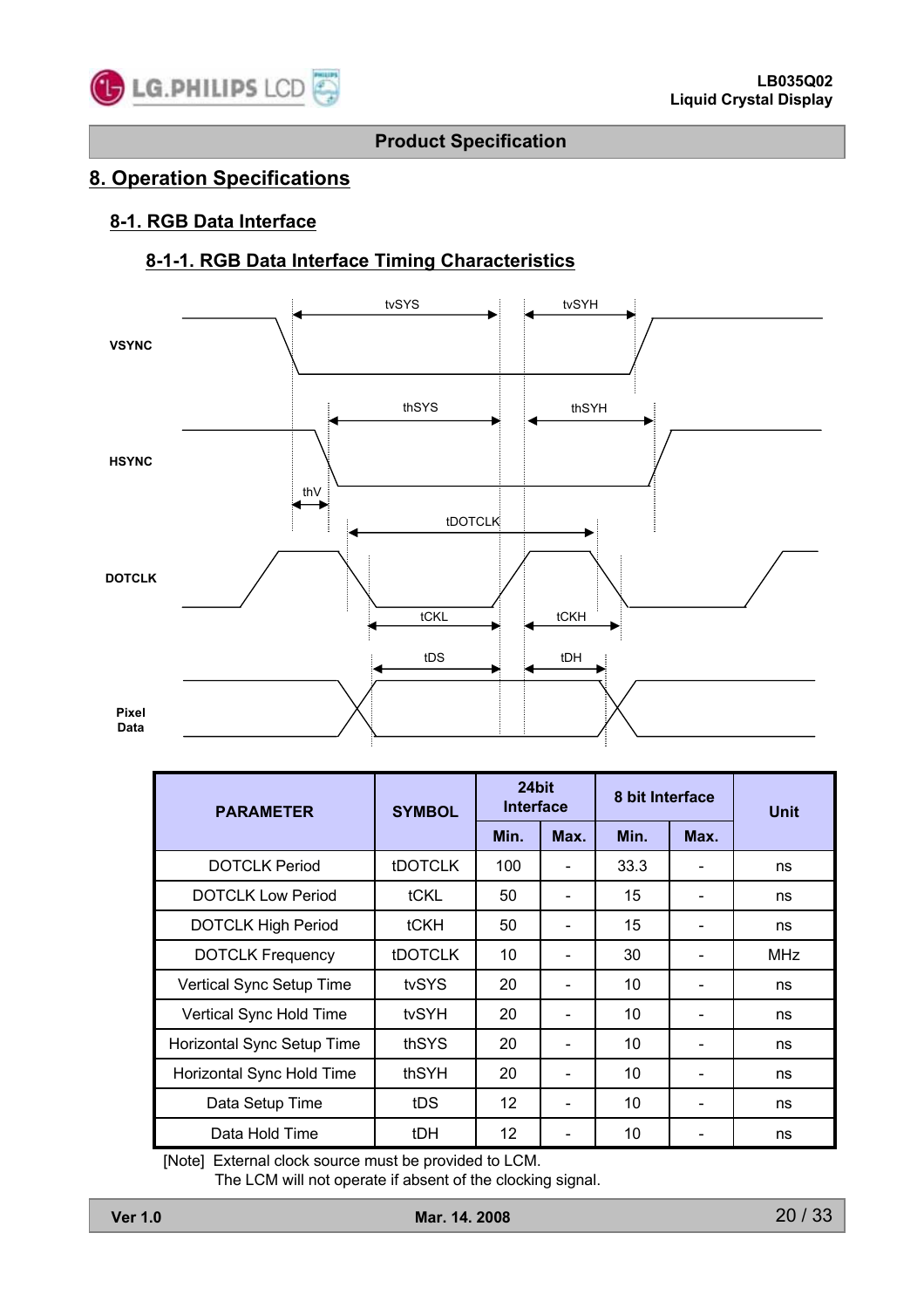

### **8. Operation Specifications**

### **8-1. RGB Data Interface**

### **8-1-1. RGB Data Interface Timing Characteristics**



| <b>PARAMETER</b>           | <b>SYMBOL</b>  | 24bit<br><b>Interface</b> |      | 8 bit Interface |      | <b>Unit</b> |
|----------------------------|----------------|---------------------------|------|-----------------|------|-------------|
|                            |                | Min.                      | Max. | Min.            | Max. |             |
| <b>DOTCLK Period</b>       | <b>tDOTCLK</b> | 100                       |      | 33.3            |      | ns          |
| <b>DOTCLK Low Period</b>   | tCKL           | 50                        |      | 15              |      | ns          |
| <b>DOTCLK High Period</b>  | tCKH           | 50                        |      | 15              |      | ns          |
| <b>DOTCLK Frequency</b>    | <b>tDOTCLK</b> | 10                        |      | 30              |      | <b>MHz</b>  |
| Vertical Sync Setup Time   | tvSYS          | 20                        |      | 10              |      | ns          |
| Vertical Sync Hold Time    | tvSYH          | 20                        |      | 10              |      | ns          |
| Horizontal Sync Setup Time | thSYS          | 20                        |      | 10              |      | ns          |
| Horizontal Sync Hold Time  | thSYH          | 20                        |      | 10              |      | ns          |
| Data Setup Time            | tDS            | 12 <sup>2</sup>           |      | 10              |      | ns          |
| Data Hold Time             | tDH            | 12                        |      | 10              |      | ns          |

[Note] External clock source must be provided to LCM.

The LCM will not operate if absent of the clocking signal.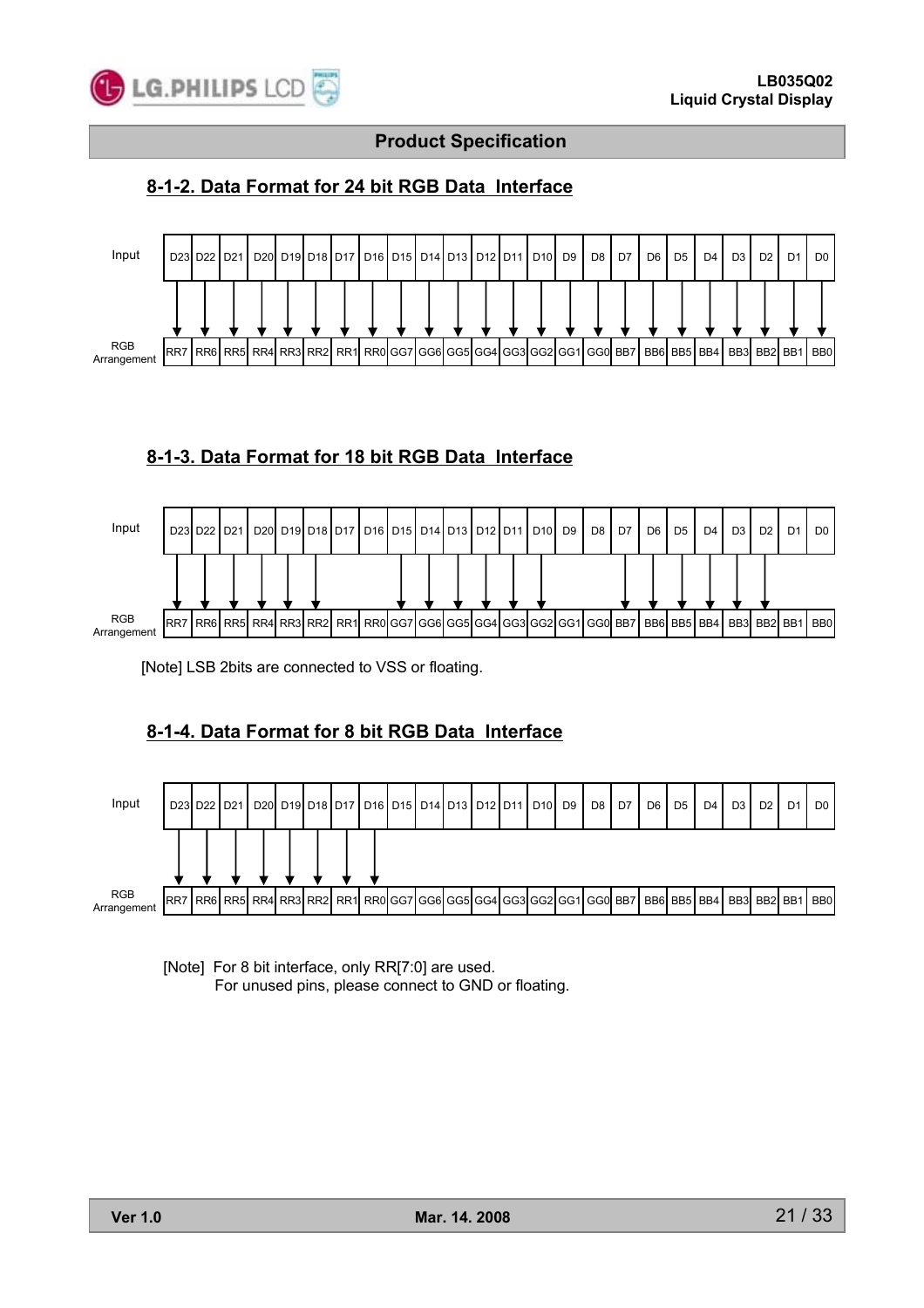

### **8-1-2. Data Format for 24 bit RGB Data Interface**



### **8-1-3. Data Format for 18 bit RGB Data Interface**



[Note] LSB 2bits are connected to VSS or floating.

### **8-1-4. Data Format for 8 bit RGB Data Interface**



[Note] For 8 bit interface, only RR[7:0] are used. For unused pins, please connect to GND or floating.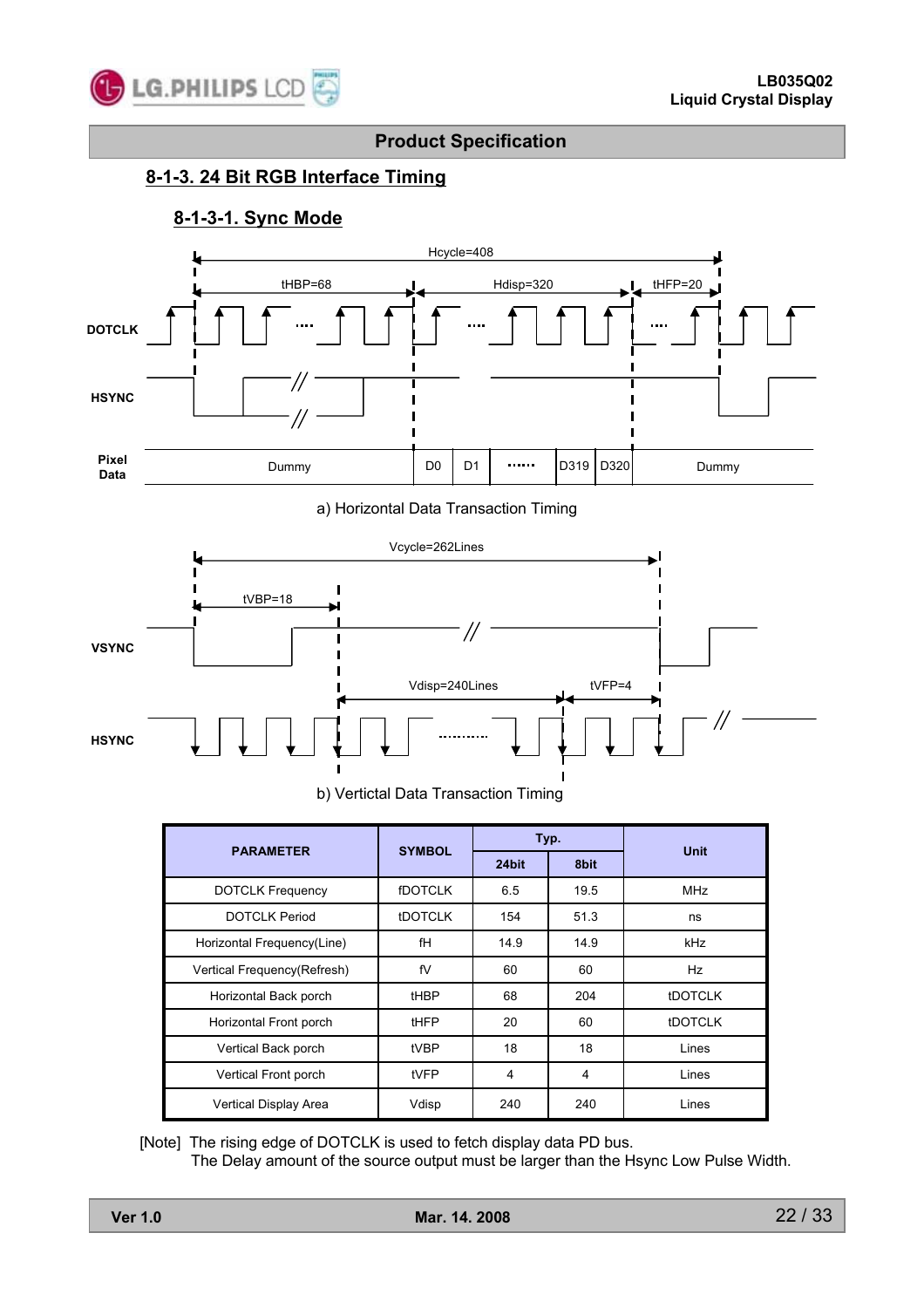

### **8-1-3. 24 Bit RGB Interface Timing**

### **8-1-3-1. Sync Mode**



a) Horizontal Data Transaction Timing



b) Vertictal Data Transaction Timing

| <b>PARAMETER</b>            | <b>SYMBOL</b>  |       | Typ. | <b>Unit</b>    |  |
|-----------------------------|----------------|-------|------|----------------|--|
|                             |                | 24bit | 8bit |                |  |
| <b>DOTCLK Frequency</b>     | <b>fDOTCLK</b> | 6.5   | 19.5 | <b>MHz</b>     |  |
| <b>DOTCLK Period</b>        | <b>tDOTCLK</b> | 154   | 51.3 | ns             |  |
| Horizontal Frequency(Line)  | fH             | 14.9  | 14.9 | kHz            |  |
| Vertical Frequency(Refresh) | fV             | 60    | 60   | Hz             |  |
| Horizontal Back porch       | tHBP           | 68    | 204  | <b>tDOTCLK</b> |  |
| Horizontal Front porch      | tHFP           | 20    | 60   | <b>IDOTCLK</b> |  |
| Vertical Back porch         | tVBP           | 18    | 18   | Lines          |  |
| Vertical Front porch        | tVFP           | 4     | 4    | Lines          |  |
| Vertical Display Area       | Vdisp          | 240   | 240  | Lines          |  |

[Note] The rising edge of DOTCLK is used to fetch display data PD bus.

The Delay amount of the source output must be larger than the Hsync Low Pulse Width.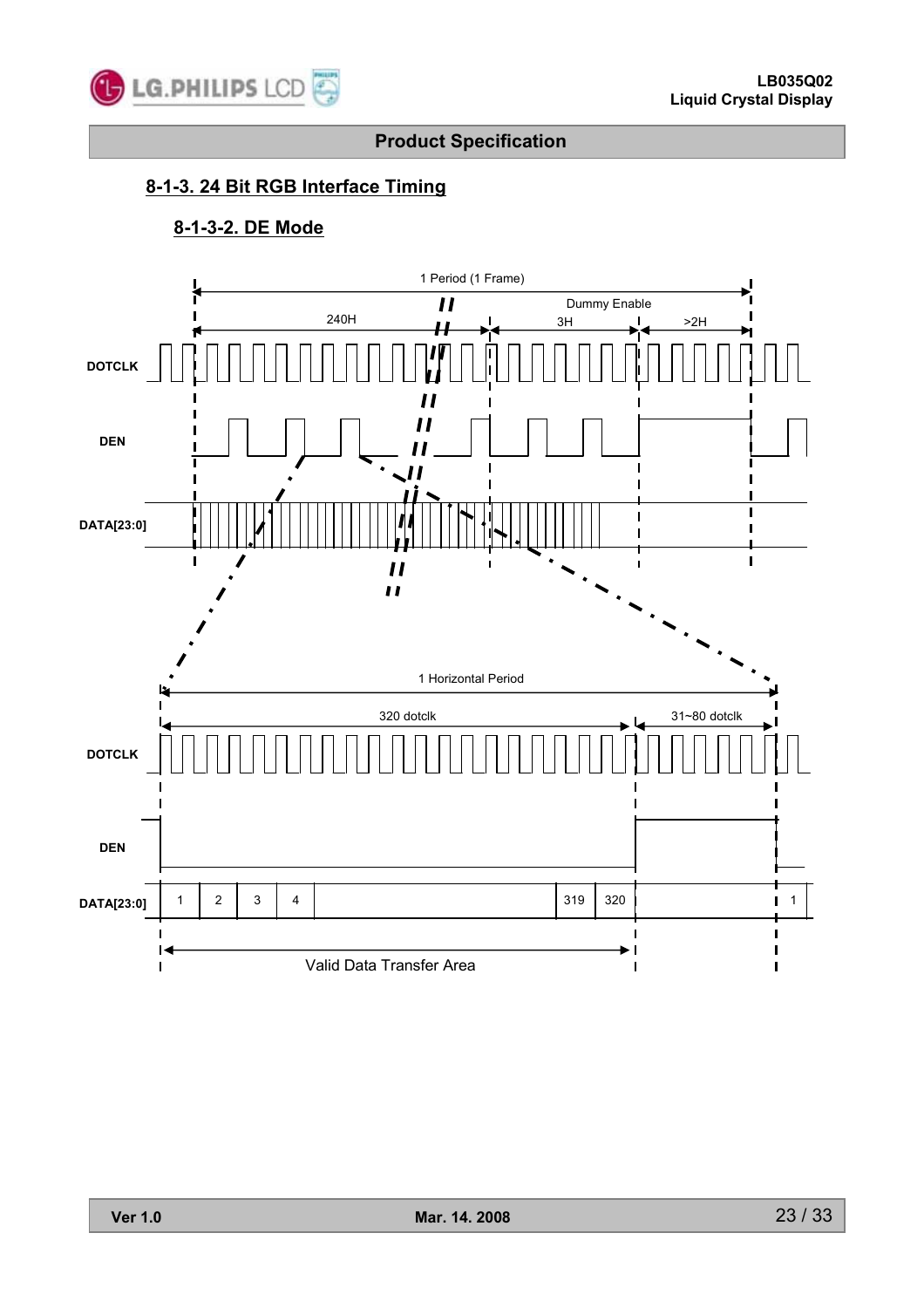

### **8-1-3. 24 Bit RGB Interface Timing**

### **8-1-3-2. DE Mode**

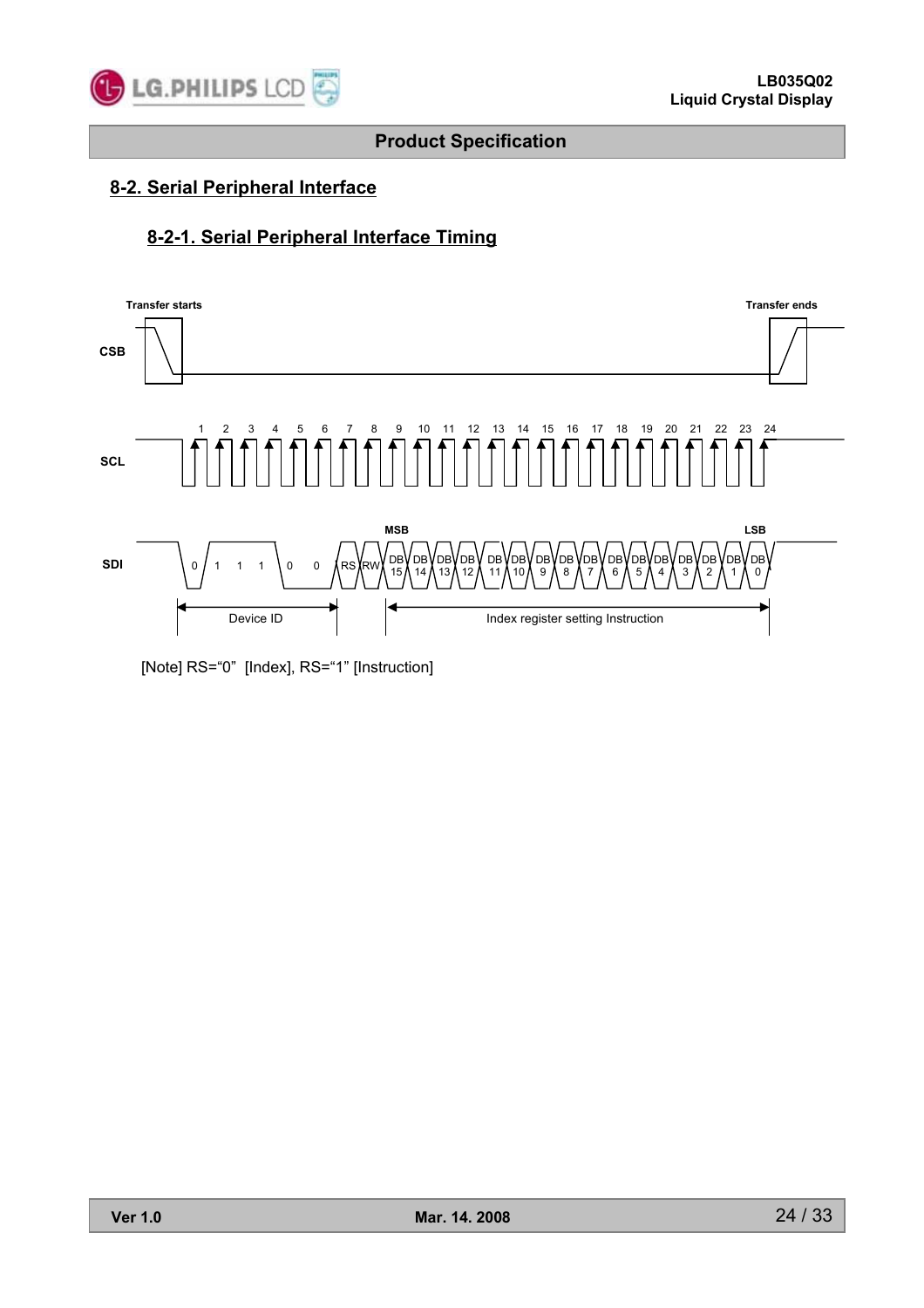

### **8-2. Serial Peripheral Interface**

### **8-2-1. Serial Peripheral Interface Timing**



[Note] RS="0" [Index], RS="1" [Instruction]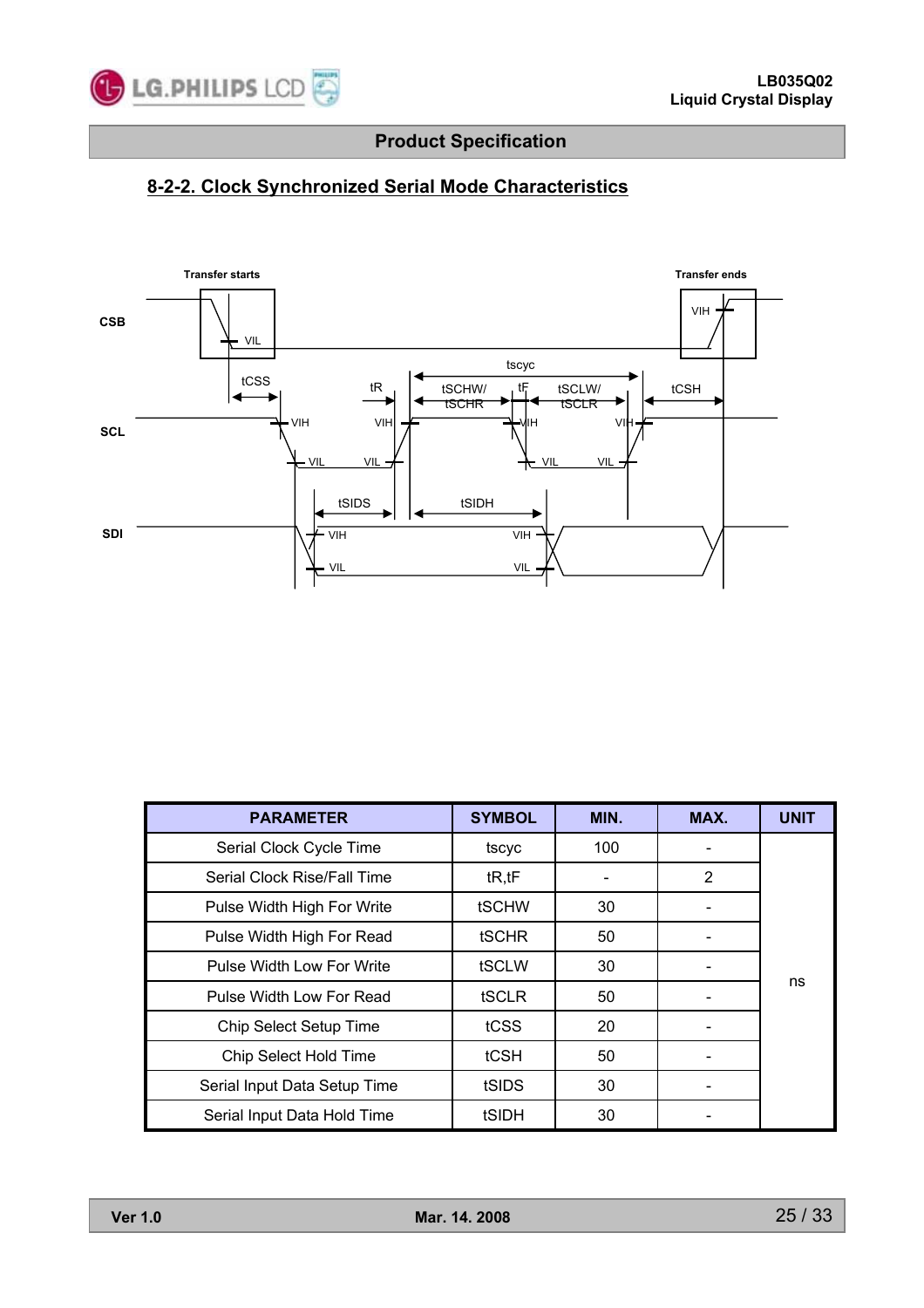

# **8-2-2. Clock Synchronized Serial Mode Characteristics**



| <b>PARAMETER</b>             | <b>SYMBOL</b> | MIN. | MAX. | <b>UNIT</b> |
|------------------------------|---------------|------|------|-------------|
| Serial Clock Cycle Time      | tscyc         | 100  |      |             |
| Serial Clock Rise/Fall Time  | tR, tF        |      | 2    |             |
| Pulse Width High For Write   | <b>tSCHW</b>  | 30   |      |             |
| Pulse Width High For Read    | <b>tSCHR</b>  | 50   |      |             |
| Pulse Width Low For Write    | tSCLW         | 30   |      |             |
| Pulse Width Low For Read     | tSCLR         | 50   |      | ns          |
| Chip Select Setup Time       | tCSS          | 20   |      |             |
| Chip Select Hold Time        | tCSH          | 50   |      |             |
| Serial Input Data Setup Time | tSIDS         | 30   |      |             |
| Serial Input Data Hold Time  | tSIDH         | 30   |      |             |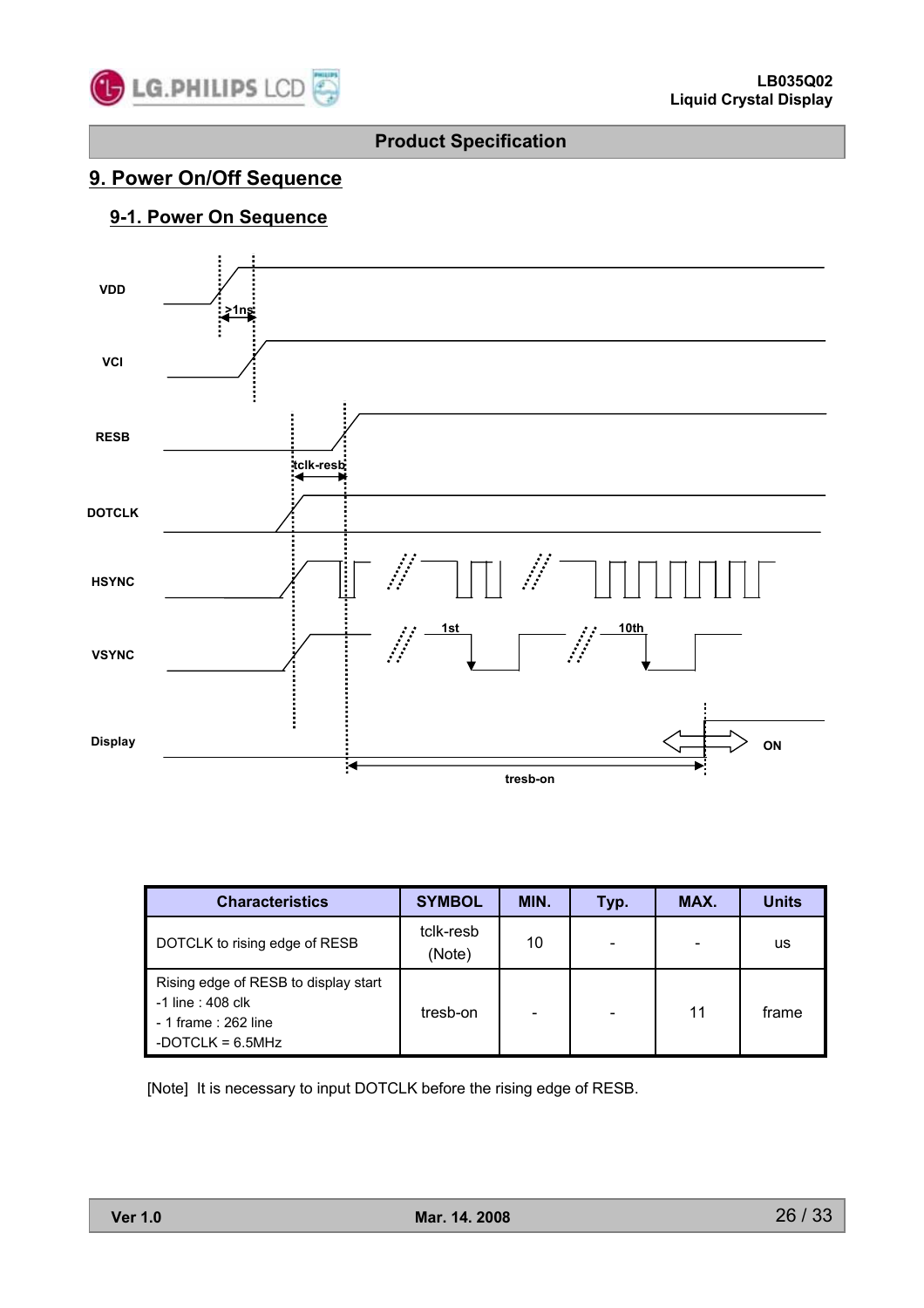

### **9. Power On/Off Sequence**

### **9-1. Power On Sequence**



| <b>Characteristics</b>                                                                                   | <b>SYMBOL</b>       | MIN. | Typ. | MAX. | <b>Units</b> |
|----------------------------------------------------------------------------------------------------------|---------------------|------|------|------|--------------|
| DOTCLK to rising edge of RESB                                                                            | tclk-resb<br>(Note) | 10   |      |      | us           |
| Rising edge of RESB to display start<br>-1 line : 408 clk<br>- 1 frame : 262 line<br>-DOTCLK = $6.5$ MHz | tresb-on            |      |      | 11   | frame        |

[Note] It is necessary to input DOTCLK before the rising edge of RESB.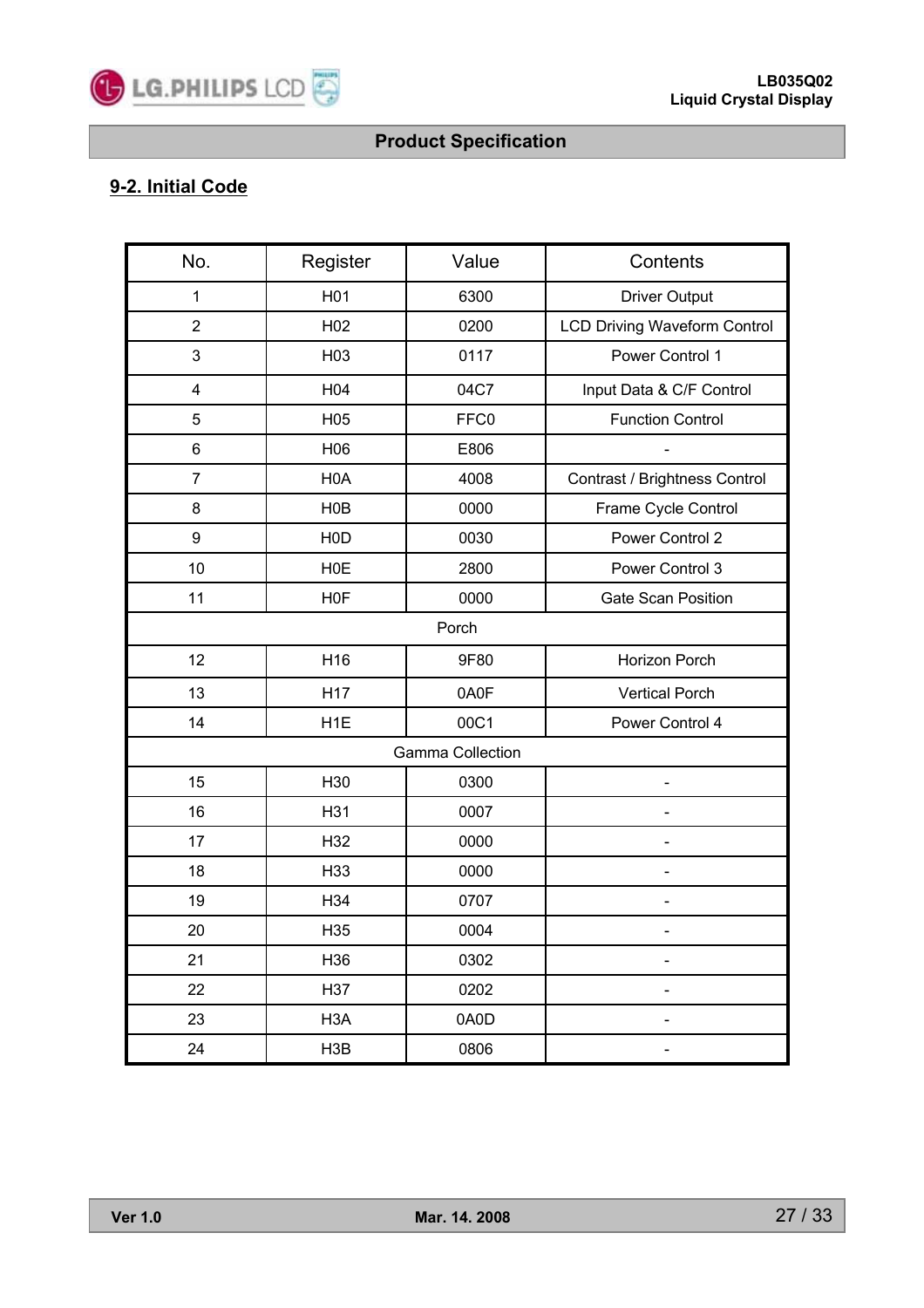

# **9-2. Initial Code**

| No.            | Register         | Value                   | Contents                            |  |  |
|----------------|------------------|-------------------------|-------------------------------------|--|--|
| 1              | H <sub>01</sub>  | 6300                    | <b>Driver Output</b>                |  |  |
| $\overline{2}$ | H <sub>02</sub>  | 0200                    | <b>LCD Driving Waveform Control</b> |  |  |
| 3              | H <sub>03</sub>  | 0117                    | Power Control 1                     |  |  |
| 4              | H04              | 04C7                    | Input Data & C/F Control            |  |  |
| 5              | H <sub>05</sub>  | FFC0                    | <b>Function Control</b>             |  |  |
| $\,6$          | H06              | E806                    |                                     |  |  |
| $\overline{7}$ | H <sub>0</sub> A | 4008                    | Contrast / Brightness Control       |  |  |
| 8              | H <sub>0</sub> B | 0000                    | Frame Cycle Control                 |  |  |
| 9              | H <sub>0</sub> D | 0030                    | Power Control 2                     |  |  |
| 10             | <b>H0E</b>       | 2800                    | Power Control 3                     |  |  |
| 11             | H <sub>0</sub> F | 0000                    | <b>Gate Scan Position</b>           |  |  |
| Porch          |                  |                         |                                     |  |  |
| 12             | H <sub>16</sub>  | 9F80                    | Horizon Porch                       |  |  |
| 13             | H <sub>17</sub>  | 0A0F                    | <b>Vertical Porch</b>               |  |  |
| 14             | H <sub>1</sub> E | 00C1                    | Power Control 4                     |  |  |
|                |                  | <b>Gamma Collection</b> |                                     |  |  |
| 15             | H <sub>30</sub>  | 0300                    |                                     |  |  |
| 16             | H31              | 0007                    |                                     |  |  |
| 17             | H32              | 0000                    |                                     |  |  |
| 18             | H <sub>33</sub>  | 0000                    |                                     |  |  |
| 19             | H34              | 0707                    |                                     |  |  |
| 20             | H <sub>35</sub>  | 0004                    |                                     |  |  |
| 21             | H36              | 0302                    |                                     |  |  |
| 22             | H37              | 0202                    |                                     |  |  |
| 23             | H <sub>3</sub> A | 0A0D                    |                                     |  |  |
| 24             | H3B              | 0806                    |                                     |  |  |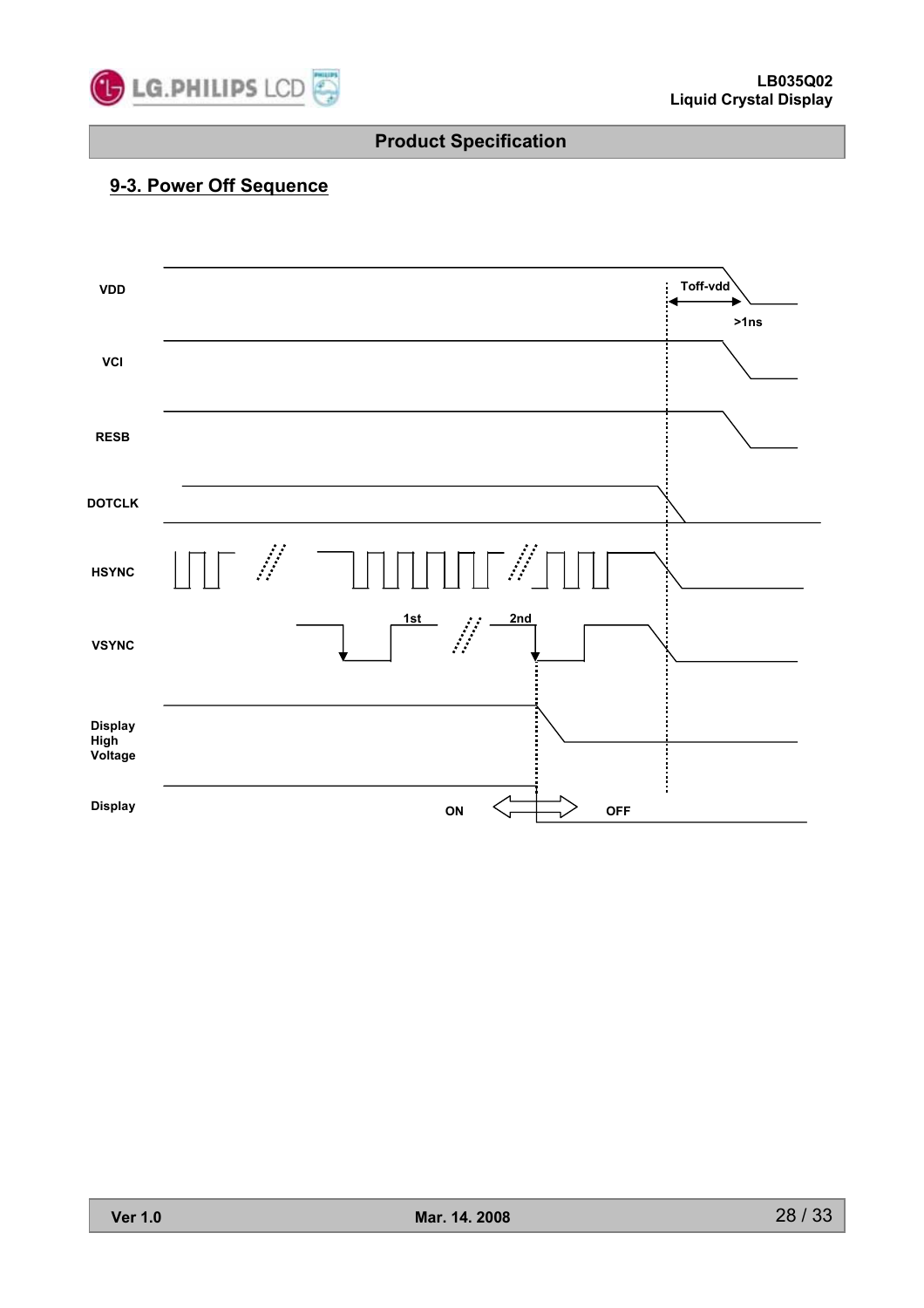

## **9-3. Power Off Sequence**

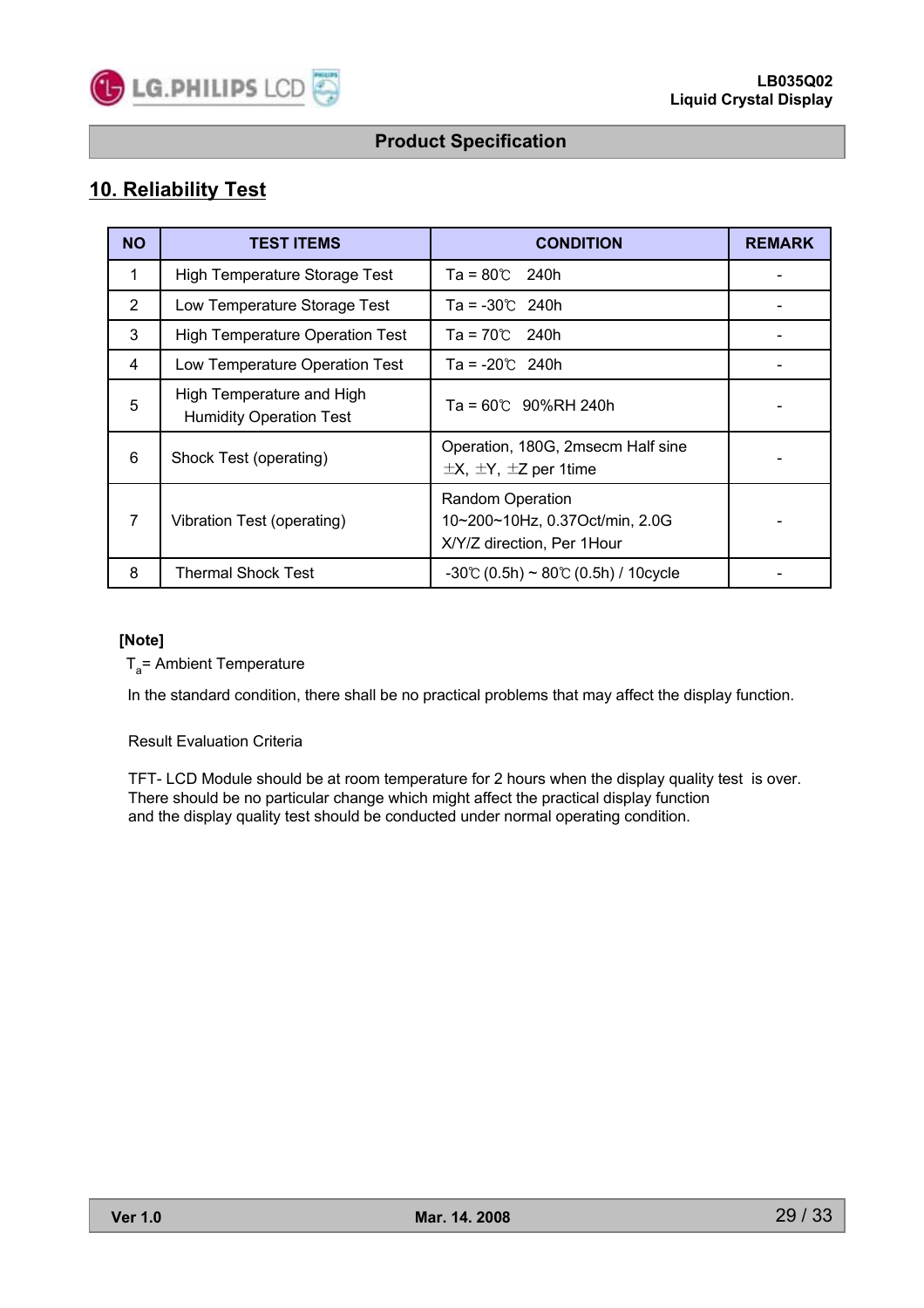

### **10. Reliability Test**

| <b>NO</b> | <b>TEST ITEMS</b>                                           | <b>CONDITION</b>                                                                        | <b>REMARK</b> |
|-----------|-------------------------------------------------------------|-----------------------------------------------------------------------------------------|---------------|
| 1         | High Temperature Storage Test                               | $Ta = 80^{\circ}$ 240h                                                                  |               |
| 2         | Low Temperature Storage Test                                | $Ta = -30^{\circ}$ 240h                                                                 |               |
| 3         | <b>High Temperature Operation Test</b>                      | $Ta = 70^{\circ}$ 240h                                                                  |               |
| 4         | Low Temperature Operation Test                              | $Ta = -20^{\circ}$ 240h                                                                 |               |
| 5         | High Temperature and High<br><b>Humidity Operation Test</b> | $Ta = 60^{\circ}$ 90%RH 240h                                                            |               |
| 6         | Shock Test (operating)                                      | Operation, 180G, 2msecm Half sine<br>$\pm$ X, $\pm$ Y, $\pm$ Z per 1time                |               |
| 7         | Vibration Test (operating)                                  | <b>Random Operation</b><br>10~200~10Hz, 0.37Oct/min, 2.0G<br>X/Y/Z direction, Per 1Hour |               |
| 8         | Thermal Shock Test                                          | $-30^{\circ}$ (0.5h) ~ 80 $\circ$ (0.5h) / 10 cycle                                     |               |

#### **[Note]**

 $T_a$ = Ambient Temperature

In the standard condition, there shall be no practical problems that may affect the display function.

#### Result Evaluation Criteria

TFT- LCD Module should be at room temperature for 2 hours when the display quality test is over. There should be no particular change which might affect the practical display function and the display quality test should be conducted under normal operating condition.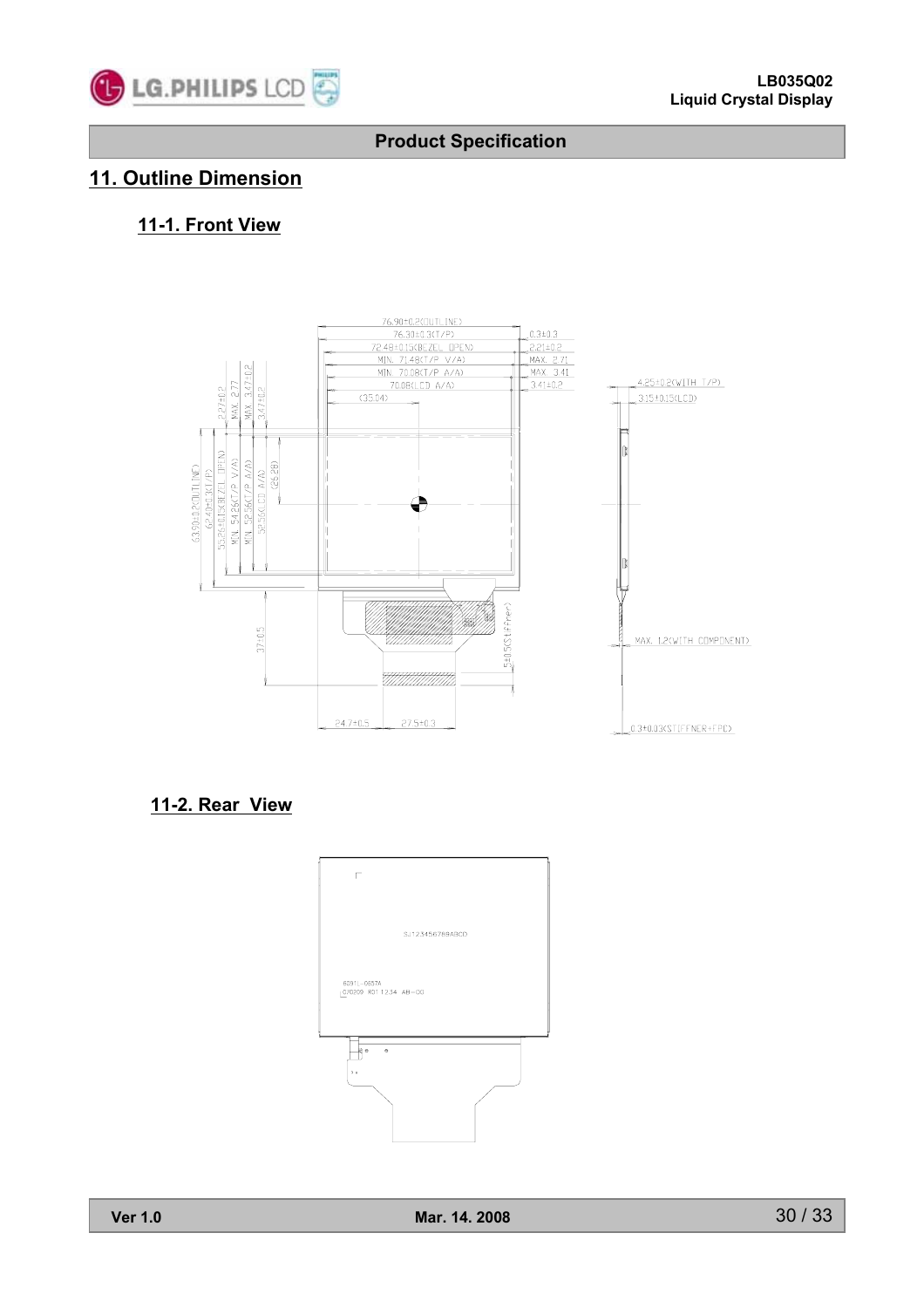

# **11. Outline Dimension**

### **11-1. Front View**



### **11-2. Rear View**

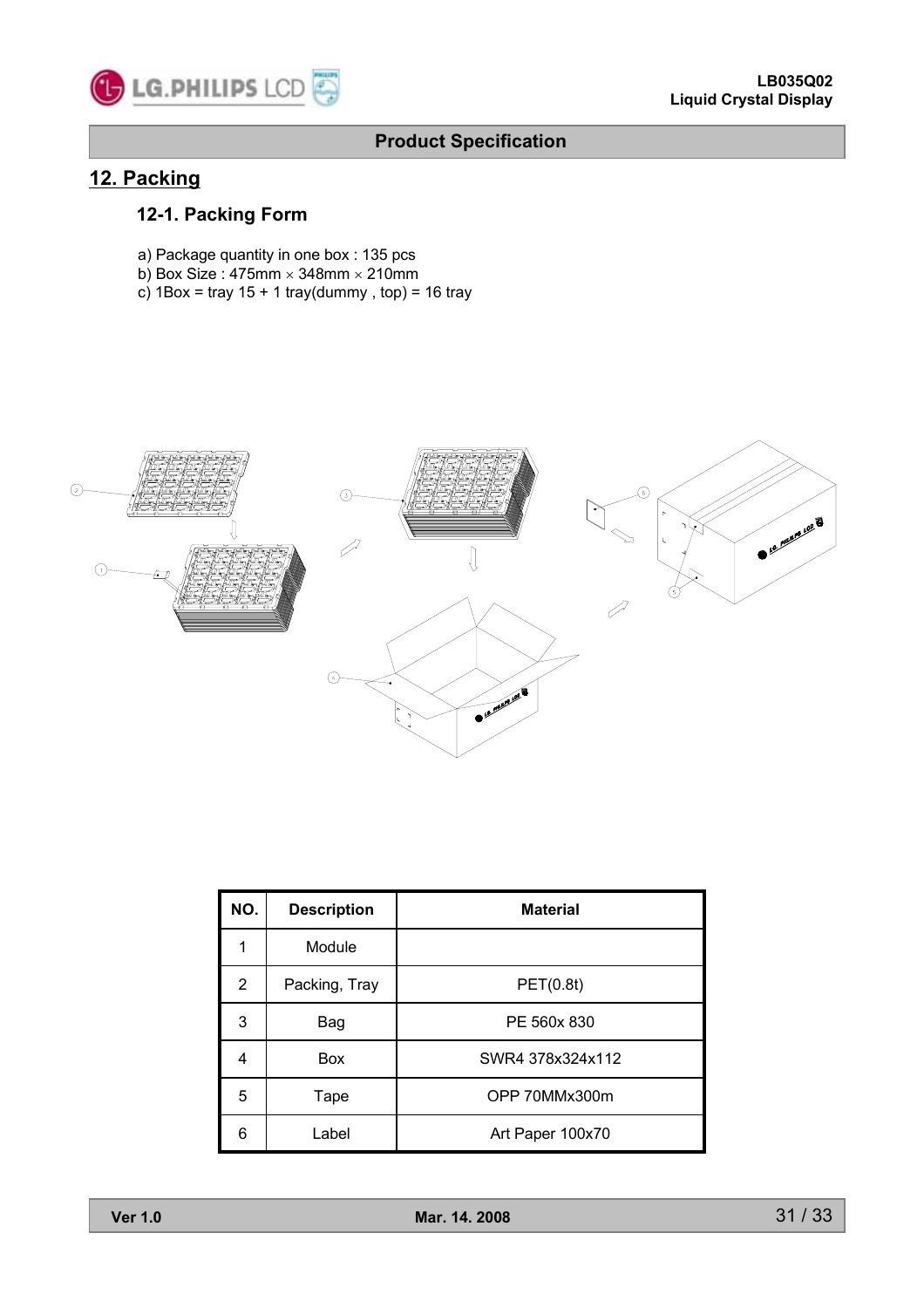

### **12. Packing**

### **12-1. Packing Form**

- a) Package quantity in one box : 135 pcs
- b) Box Size : 475mm  $\times$  348mm  $\times$  210mm
- c)  $1Box = \text{tray } 15 + 1 \text{tray (dummy, top)} = 16 \text{tray}$



| NO.            | <b>Description</b> | <b>Material</b>  |
|----------------|--------------------|------------------|
| 1              | Module             |                  |
| $\overline{2}$ | Packing, Tray      | PET(0.8t)        |
| 3              | Bag                | PE 560x 830      |
| 4              | Box                | SWR4 378x324x112 |
| 5              | Tape               | OPP 70MMx300m    |
| 6              | Label              | Art Paper 100x70 |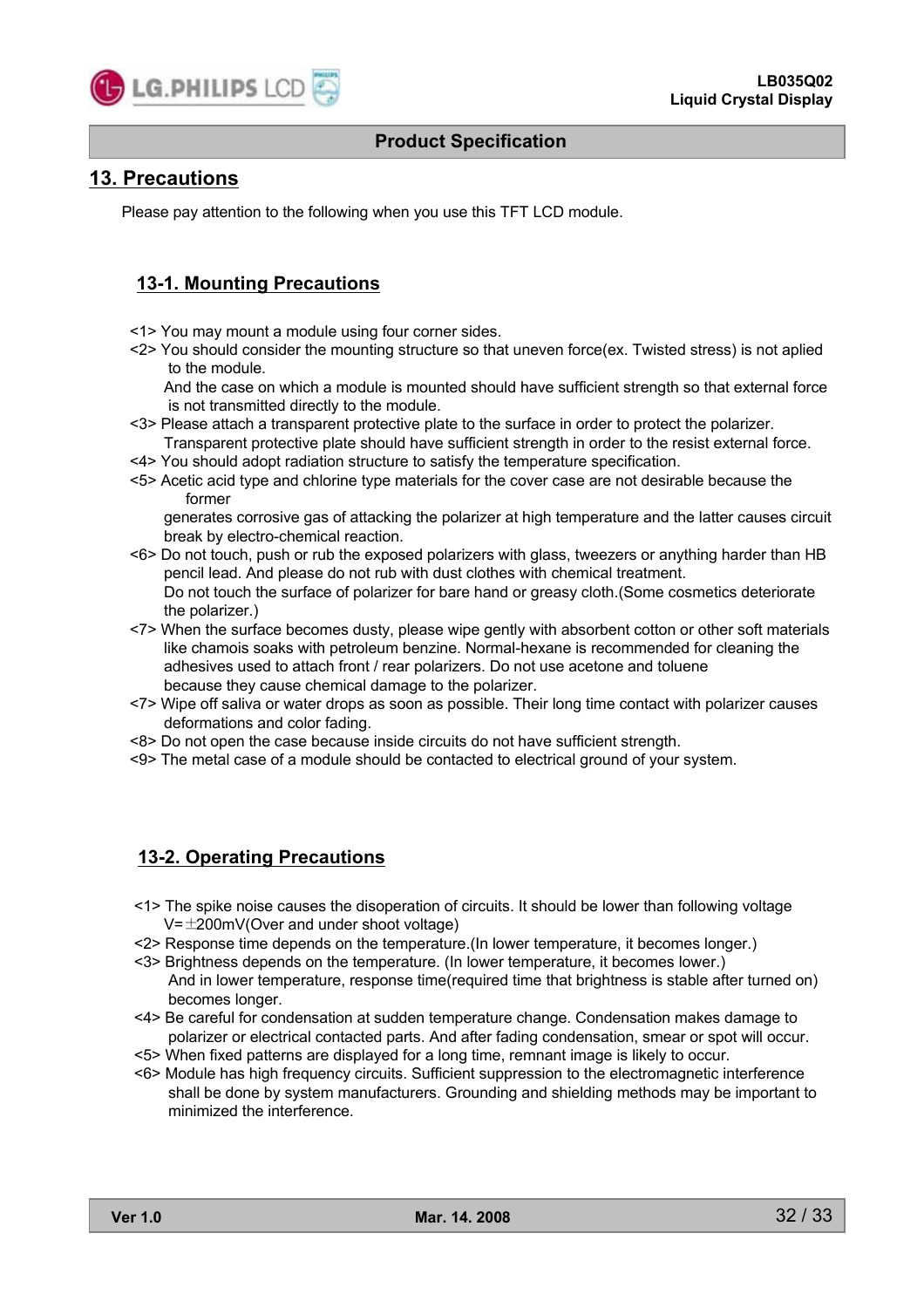

### **13. Precautions**

Please pay attention to the following when you use this TFT LCD module.

### **13-1. Mounting Precautions**

- <1> You may mount a module using four corner sides.
- <2> You should consider the mounting structure so that uneven force(ex. Twisted stress) is not aplied to the module.

And the case on which a module is mounted should have sufficient strength so that external force is not transmitted directly to the module.

- <3> Please attach a transparent protective plate to the surface in order to protect the polarizer. Transparent protective plate should have sufficient strength in order to the resist external force.
- <4> You should adopt radiation structure to satisfy the temperature specification.
- <5> Acetic acid type and chlorine type materials for the cover case are not desirable because the former

generates corrosive gas of attacking the polarizer at high temperature and the latter causes circuit break by electro-chemical reaction.

- <6> Do not touch, push or rub the exposed polarizers with glass, tweezers or anything harder than HB pencil lead. And please do not rub with dust clothes with chemical treatment. Do not touch the surface of polarizer for bare hand or greasy cloth.(Some cosmetics deteriorate the polarizer.)
- <7> When the surface becomes dusty, please wipe gently with absorbent cotton or other soft materials like chamois soaks with petroleum benzine. Normal-hexane is recommended for cleaning the adhesives used to attach front / rear polarizers. Do not use acetone and toluene because they cause chemical damage to the polarizer.
- <7> Wipe off saliva or water drops as soon as possible. Their long time contact with polarizer causes deformations and color fading.
- <8> Do not open the case because inside circuits do not have sufficient strength.
- <9> The metal case of a module should be contacted to electrical ground of your system.

#### **13-2. Operating Precautions**

- <1> The spike noise causes the disoperation of circuits. It should be lower than following voltage V=±200mV(Over and under shoot voltage)
- <2> Response time depends on the temperature.(In lower temperature, it becomes longer.)
- <3> Brightness depends on the temperature. (In lower temperature, it becomes lower.) And in lower temperature, response time(required time that brightness is stable after turned on) becomes longer.
- <4> Be careful for condensation at sudden temperature change. Condensation makes damage to polarizer or electrical contacted parts. And after fading condensation, smear or spot will occur.
- <5> When fixed patterns are displayed for a long time, remnant image is likely to occur.
- <6> Module has high frequency circuits. Sufficient suppression to the electromagnetic interference shall be done by system manufacturers. Grounding and shielding methods may be important to minimized the interference.